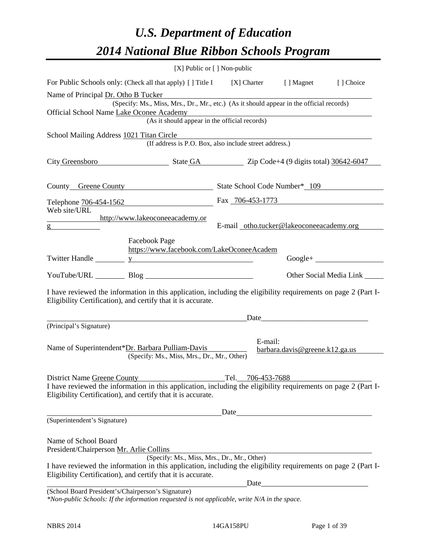# *U.S. Department of Education 2014 National Blue Ribbon Schools Program*

| [X] Public or [] Non-public                                                                                                                                                                                                                 |                   |                                          |                                |
|---------------------------------------------------------------------------------------------------------------------------------------------------------------------------------------------------------------------------------------------|-------------------|------------------------------------------|--------------------------------|
| For Public Schools only: (Check all that apply) [ ] Title I [ X] Charter [ ] Magnet                                                                                                                                                         |                   |                                          | [ ] Choice                     |
| Name of Principal Dr. Otho B Tucker<br>(Specify: Ms., Miss, Mrs., Dr., Mr., etc.) (As it should appear in the official records)<br>Official School Name Lake Oconee Academy<br>nee Academy<br>(As it should appear in the official records) |                   |                                          |                                |
|                                                                                                                                                                                                                                             |                   |                                          |                                |
| School Mailing Address 1021 Titan Circle<br>(If address is P.O. Box, also include street address.)                                                                                                                                          |                   |                                          |                                |
| City Greensboro State GA Zip Code+4 (9 digits total) 30642-6047                                                                                                                                                                             |                   |                                          |                                |
| County Greene County State School Code Number* 109                                                                                                                                                                                          |                   |                                          |                                |
| Telephone 706-454-1562<br>Fax 706-453-1773                                                                                                                                                                                                  |                   |                                          |                                |
| Web site/URL<br>http://www.lakeoconeeacademy.or<br>$g \sim$                                                                                                                                                                                 |                   | E-mail_otho.tucker@lakeoconeeacademy.org |                                |
| Facebook Page<br>https://www.facebook.com/LakeOconeeAcadem<br>Twitter Handle <u>y</u> y                                                                                                                                                     |                   |                                          | $Google +$                     |
| YouTube/URL Blog Blog                                                                                                                                                                                                                       |                   |                                          | Other Social Media Link ______ |
| I have reviewed the information in this application, including the eligibility requirements on page 2 (Part I-<br>Eligibility Certification), and certify that it is accurate.                                                              |                   |                                          |                                |
| <u> 1989 - Johann Stoff, deutscher Stoffen und der Stoffen und der Stoffen und der Stoffen und der Stoffen und der</u>                                                                                                                      |                   |                                          |                                |
| (Principal's Signature)                                                                                                                                                                                                                     |                   |                                          |                                |
| Name of Superintendent*Dr. Barbara Pulliam-Davis<br>(Specify: Ms., Miss, Mrs., Dr., Mr., Other)                                                                                                                                             |                   | E-mail:<br>bara.davis@greenek12.ga.us    |                                |
| District Name Greene County<br>I have reviewed the information in this application, including the eligibility requirements on page 2 (Part I-                                                                                               | Tel. 706-453-7688 |                                          |                                |
| Eligibility Certification), and certify that it is accurate.                                                                                                                                                                                |                   |                                          |                                |
|                                                                                                                                                                                                                                             | Date              |                                          |                                |
| (Superintendent's Signature)                                                                                                                                                                                                                |                   |                                          |                                |
| Name of School Board<br>President/Chairperson Mr. Arlie Collins                                                                                                                                                                             |                   |                                          |                                |
| (Specify: Ms., Miss, Mrs., Dr., Mr., Other)<br>I have reviewed the information in this application, including the eligibility requirements on page 2 (Part I-<br>Eligibility Certification), and certify that it is accurate.               |                   |                                          |                                |
| (School Board President's/Chairperson's Signature)<br>*Non-public Schools: If the information requested is not applicable, write N/A in the space.                                                                                          | Date              |                                          |                                |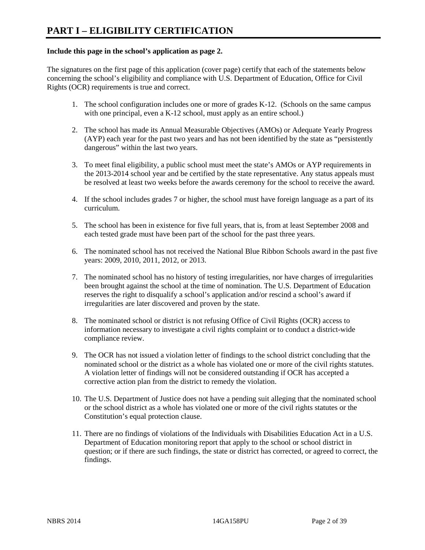### **Include this page in the school's application as page 2.**

The signatures on the first page of this application (cover page) certify that each of the statements below concerning the school's eligibility and compliance with U.S. Department of Education, Office for Civil Rights (OCR) requirements is true and correct.

- 1. The school configuration includes one or more of grades K-12. (Schools on the same campus with one principal, even a K-12 school, must apply as an entire school.)
- 2. The school has made its Annual Measurable Objectives (AMOs) or Adequate Yearly Progress (AYP) each year for the past two years and has not been identified by the state as "persistently dangerous" within the last two years.
- 3. To meet final eligibility, a public school must meet the state's AMOs or AYP requirements in the 2013-2014 school year and be certified by the state representative. Any status appeals must be resolved at least two weeks before the awards ceremony for the school to receive the award.
- 4. If the school includes grades 7 or higher, the school must have foreign language as a part of its curriculum.
- 5. The school has been in existence for five full years, that is, from at least September 2008 and each tested grade must have been part of the school for the past three years.
- 6. The nominated school has not received the National Blue Ribbon Schools award in the past five years: 2009, 2010, 2011, 2012, or 2013.
- 7. The nominated school has no history of testing irregularities, nor have charges of irregularities been brought against the school at the time of nomination. The U.S. Department of Education reserves the right to disqualify a school's application and/or rescind a school's award if irregularities are later discovered and proven by the state.
- 8. The nominated school or district is not refusing Office of Civil Rights (OCR) access to information necessary to investigate a civil rights complaint or to conduct a district-wide compliance review.
- 9. The OCR has not issued a violation letter of findings to the school district concluding that the nominated school or the district as a whole has violated one or more of the civil rights statutes. A violation letter of findings will not be considered outstanding if OCR has accepted a corrective action plan from the district to remedy the violation.
- 10. The U.S. Department of Justice does not have a pending suit alleging that the nominated school or the school district as a whole has violated one or more of the civil rights statutes or the Constitution's equal protection clause.
- 11. There are no findings of violations of the Individuals with Disabilities Education Act in a U.S. Department of Education monitoring report that apply to the school or school district in question; or if there are such findings, the state or district has corrected, or agreed to correct, the findings.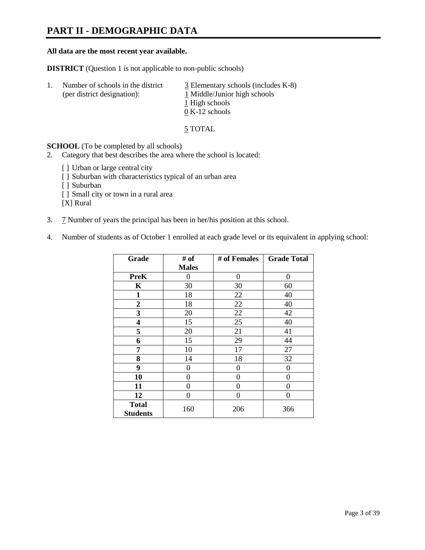## **PART II - DEMOGRAPHIC DATA**

### **All data are the most recent year available.**

**DISTRICT** (Question 1 is not applicable to non-public schools)

| -1. | Number of schools in the district<br>(per district designation): | $\overline{3}$ Elementary schools (includes K-8)<br>1 Middle/Junior high schools<br>1 High schools |
|-----|------------------------------------------------------------------|----------------------------------------------------------------------------------------------------|
|     |                                                                  | $0 K-12$ schools                                                                                   |

5 TOTAL

**SCHOOL** (To be completed by all schools)

- 2. Category that best describes the area where the school is located:
	- [] Urban or large central city
	- [ ] Suburban with characteristics typical of an urban area
	- [ ] Suburban
	- [ ] Small city or town in a rural area

[X] Rural

- 3. 7 Number of years the principal has been in her/his position at this school.
- 4. Number of students as of October 1 enrolled at each grade level or its equivalent in applying school:

| Grade                           | # of         | # of Females | <b>Grade Total</b> |
|---------------------------------|--------------|--------------|--------------------|
|                                 | <b>Males</b> |              |                    |
| <b>PreK</b>                     | 0            | $\theta$     | $\Omega$           |
| K                               | 30           | 30           | 60                 |
| $\mathbf{1}$                    | 18           | 22           | 40                 |
| $\boldsymbol{2}$                | 18           | 22           | 40                 |
| 3                               | 20           | 22           | 42                 |
| 4                               | 15           | 25           | 40                 |
| 5                               | 20           | 21           | 41                 |
| 6                               | 15           | 29           | 44                 |
| 7                               | 10           | 17           | 27                 |
| 8                               | 14           | 18           | 32                 |
| 9                               | 0            | 0            | 0                  |
| 10                              | 0            | $\theta$     | 0                  |
| 11                              | 0            | 0            | 0                  |
| 12                              | 0            | 0            | 0                  |
| <b>Total</b><br><b>Students</b> | 160          | 206          | 366                |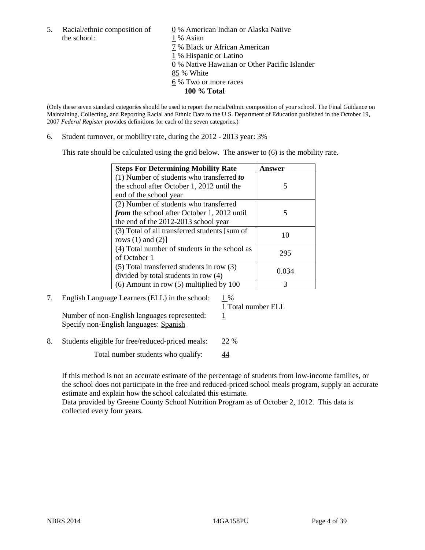5. Racial/ethnic composition of  $\qquad \qquad \underline{0}$  % American Indian or Alaska Native the school: 1 % Asian

 7 % Black or African American 1 % Hispanic or Latino 0 % Native Hawaiian or Other Pacific Islander 85 % White 6 % Two or more races **100 % Total** 

(Only these seven standard categories should be used to report the racial/ethnic composition of your school. The Final Guidance on Maintaining, Collecting, and Reporting Racial and Ethnic Data to the U.S. Department of Education published in the October 19, 2007 *Federal Register* provides definitions for each of the seven categories.)

6. Student turnover, or mobility rate, during the 2012 - 2013 year: 3%

This rate should be calculated using the grid below. The answer to (6) is the mobility rate.

| <b>Steps For Determining Mobility Rate</b>         | <b>Answer</b> |
|----------------------------------------------------|---------------|
| (1) Number of students who transferred to          |               |
| the school after October 1, 2012 until the         | 5             |
| end of the school year                             |               |
| (2) Number of students who transferred             |               |
| <i>from</i> the school after October 1, 2012 until | 5             |
| the end of the 2012-2013 school year               |               |
| (3) Total of all transferred students [sum of      | 10            |
| rows $(1)$ and $(2)$ ]                             |               |
| (4) Total number of students in the school as      | 295           |
| of October 1                                       |               |
| $(5)$ Total transferred students in row $(3)$      | 0.034         |
| divided by total students in row (4)               |               |
| $(6)$ Amount in row $(5)$ multiplied by 100        | 3             |

# 7. English Language Learners (ELL) in the school:  $1\%$

1 Total number ELL

Number of non-English languages represented:  $1$ Specify non-English languages: Spanish

8. Students eligible for free/reduced-priced meals: 22 %

Total number students who qualify:  $\frac{44}{1}$ 

If this method is not an accurate estimate of the percentage of students from low-income families, or the school does not participate in the free and reduced-priced school meals program, supply an accurate estimate and explain how the school calculated this estimate.

Data provided by Greene County School Nutrition Program as of October 2, 1012. This data is collected every four years.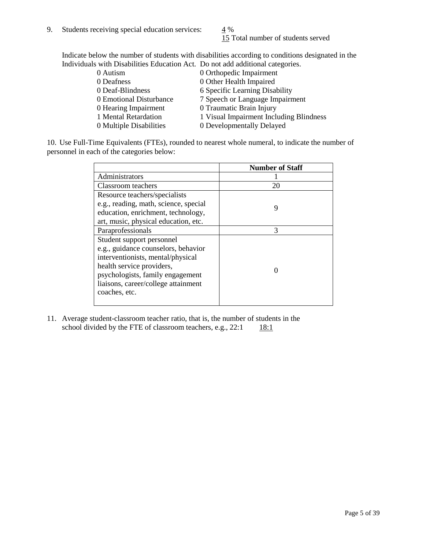15 Total number of students served

Indicate below the number of students with disabilities according to conditions designated in the Individuals with Disabilities Education Act. Do not add additional categories.

| 0 Autism                | 0 Orthopedic Impairment                 |
|-------------------------|-----------------------------------------|
| 0 Deafness              | 0 Other Health Impaired                 |
| 0 Deaf-Blindness        | 6 Specific Learning Disability          |
| 0 Emotional Disturbance | 7 Speech or Language Impairment         |
| 0 Hearing Impairment    | 0 Traumatic Brain Injury                |
| 1 Mental Retardation    | 1 Visual Impairment Including Blindness |
| 0 Multiple Disabilities | 0 Developmentally Delayed               |
|                         |                                         |

10. Use Full-Time Equivalents (FTEs), rounded to nearest whole numeral, to indicate the number of personnel in each of the categories below:

|                                       | <b>Number of Staff</b> |
|---------------------------------------|------------------------|
| Administrators                        |                        |
| Classroom teachers                    | 20                     |
| Resource teachers/specialists         |                        |
| e.g., reading, math, science, special | 9                      |
| education, enrichment, technology,    |                        |
| art, music, physical education, etc.  |                        |
| Paraprofessionals                     | 3                      |
| Student support personnel             |                        |
| e.g., guidance counselors, behavior   |                        |
| interventionists, mental/physical     |                        |
| health service providers,             |                        |
| psychologists, family engagement      |                        |
| liaisons, career/college attainment   |                        |
| coaches, etc.                         |                        |
|                                       |                        |

11. Average student-classroom teacher ratio, that is, the number of students in the school divided by the FTE of classroom teachers, e.g.,  $22:1$  18:1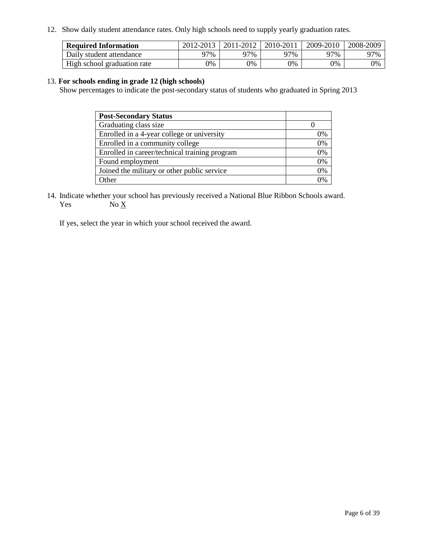12. Show daily student attendance rates. Only high schools need to supply yearly graduation rates.

| <b>Required Information</b> | 2012-2013 | 2011-2012 | 2010-2011 | 2009-2010 | 2008-2009 |
|-----------------------------|-----------|-----------|-----------|-----------|-----------|
| Daily student attendance    | 77%       | 97%       | 27%       | 97%       | 97%       |
| High school graduation rate | 0%        | 9%        | 0%        | 0%        | 0%        |

### 13. **For schools ending in grade 12 (high schools)**

Show percentages to indicate the post-secondary status of students who graduated in Spring 2013

| <b>Post-Secondary Status</b>                  |    |
|-----------------------------------------------|----|
| Graduating class size                         |    |
| Enrolled in a 4-year college or university    | 0% |
| Enrolled in a community college               | 0% |
| Enrolled in career/technical training program | 0% |
| Found employment                              | 0% |
| Joined the military or other public service   | 0% |
| <b>Other</b>                                  | 2% |

14. Indicate whether your school has previously received a National Blue Ribbon Schools award. Yes  $No \underline{X}$ 

If yes, select the year in which your school received the award.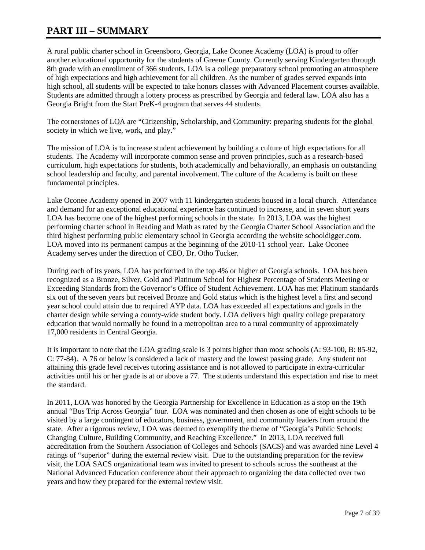## **PART III – SUMMARY**

A rural public charter school in Greensboro, Georgia, Lake Oconee Academy (LOA) is proud to offer another educational opportunity for the students of Greene County. Currently serving Kindergarten through 8th grade with an enrollment of 366 students, LOA is a college preparatory school promoting an atmosphere of high expectations and high achievement for all children. As the number of grades served expands into high school, all students will be expected to take honors classes with Advanced Placement courses available. Students are admitted through a lottery process as prescribed by Georgia and federal law. LOA also has a Georgia Bright from the Start PreK-4 program that serves 44 students.

The cornerstones of LOA are "Citizenship, Scholarship, and Community: preparing students for the global society in which we live, work, and play."

The mission of LOA is to increase student achievement by building a culture of high expectations for all students. The Academy will incorporate common sense and proven principles, such as a research-based curriculum, high expectations for students, both academically and behaviorally, an emphasis on outstanding school leadership and faculty, and parental involvement. The culture of the Academy is built on these fundamental principles.

Lake Oconee Academy opened in 2007 with 11 kindergarten students housed in a local church. Attendance and demand for an exceptional educational experience has continued to increase, and in seven short years LOA has become one of the highest performing schools in the state. In 2013, LOA was the highest performing charter school in Reading and Math as rated by the Georgia Charter School Association and the third highest performing public elementary school in Georgia according the website schooldigger.com. LOA moved into its permanent campus at the beginning of the 2010-11 school year. Lake Oconee Academy serves under the direction of CEO, Dr. Otho Tucker.

During each of its years, LOA has performed in the top 4% or higher of Georgia schools. LOA has been recognized as a Bronze, Silver, Gold and Platinum School for Highest Percentage of Students Meeting or Exceeding Standards from the Governor's Office of Student Achievement. LOA has met Platinum standards six out of the seven years but received Bronze and Gold status which is the highest level a first and second year school could attain due to required AYP data. LOA has exceeded all expectations and goals in the charter design while serving a county-wide student body. LOA delivers high quality college preparatory education that would normally be found in a metropolitan area to a rural community of approximately 17,000 residents in Central Georgia.

It is important to note that the LOA grading scale is 3 points higher than most schools (A: 93-100, B: 85-92, C: 77-84). A 76 or below is considered a lack of mastery and the lowest passing grade. Any student not attaining this grade level receives tutoring assistance and is not allowed to participate in extra-curricular activities until his or her grade is at or above a 77. The students understand this expectation and rise to meet the standard.

In 2011, LOA was honored by the Georgia Partnership for Excellence in Education as a stop on the 19th annual "Bus Trip Across Georgia" tour. LOA was nominated and then chosen as one of eight schools to be visited by a large contingent of educators, business, government, and community leaders from around the state. After a rigorous review, LOA was deemed to exemplify the theme of "Georgia's Public Schools: Changing Culture, Building Community, and Reaching Excellence." In 2013, LOA received full accreditation from the Southern Association of Colleges and Schools (SACS) and was awarded nine Level 4 ratings of "superior" during the external review visit. Due to the outstanding preparation for the review visit, the LOA SACS organizational team was invited to present to schools across the southeast at the National Advanced Education conference about their approach to organizing the data collected over two years and how they prepared for the external review visit.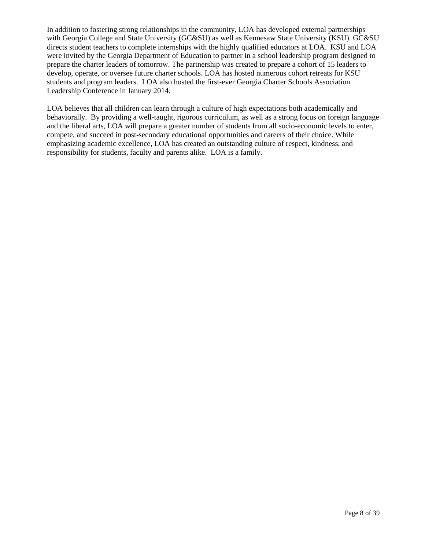In addition to fostering strong relationships in the community, LOA has developed external partnerships with Georgia College and State University (GC&SU) as well as Kennesaw State University (KSU). GC&SU directs student teachers to complete internships with the highly qualified educators at LOA. KSU and LOA were invited by the Georgia Department of Education to partner in a school leadership program designed to prepare the charter leaders of tomorrow. The partnership was created to prepare a cohort of 15 leaders to develop, operate, or oversee future charter schools. LOA has hosted numerous cohort retreats for KSU students and program leaders. LOA also hosted the first-ever Georgia Charter Schools Association Leadership Conference in January 2014.

LOA believes that all children can learn through a culture of high expectations both academically and behaviorally. By providing a well-taught, rigorous curriculum, as well as a strong focus on foreign language and the liberal arts, LOA will prepare a greater number of students from all socio-economic levels to enter, compete, and succeed in post-secondary educational opportunities and careers of their choice. While emphasizing academic excellence, LOA has created an outstanding culture of respect, kindness, and responsibility for students, faculty and parents alike. LOA is a family.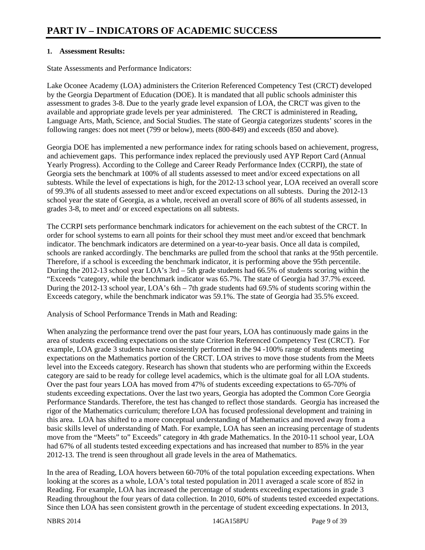### **1. Assessment Results:**

State Assessments and Performance Indicators:

Lake Oconee Academy (LOA) administers the Criterion Referenced Competency Test (CRCT) developed by the Georgia Department of Education (DOE). It is mandated that all public schools administer this assessment to grades 3-8. Due to the yearly grade level expansion of LOA, the CRCT was given to the available and appropriate grade levels per year administered. The CRCT is administered in Reading, Language Arts, Math, Science, and Social Studies. The state of Georgia categorizes students' scores in the following ranges: does not meet (799 or below), meets (800-849) and exceeds (850 and above).

Georgia DOE has implemented a new performance index for rating schools based on achievement, progress, and achievement gaps. This performance index replaced the previously used AYP Report Card (Annual Yearly Progress). According to the College and Career Ready Performance Index (CCRPI), the state of Georgia sets the benchmark at 100% of all students assessed to meet and/or exceed expectations on all subtests. While the level of expectations is high, for the 2012-13 school year, LOA received an overall score of 99.3% of all students assessed to meet and/or exceed expectations on all subtests. During the 2012-13 school year the state of Georgia, as a whole, received an overall score of 86% of all students assessed, in grades 3-8, to meet and/ or exceed expectations on all subtests.

The CCRPI sets performance benchmark indicators for achievement on the each subtest of the CRCT. In order for school systems to earn all points for their school they must meet and/or exceed that benchmark indicator. The benchmark indicators are determined on a year-to-year basis. Once all data is compiled, schools are ranked accordingly. The benchmarks are pulled from the school that ranks at the 95th percentile. Therefore, if a school is exceeding the benchmark indicator, it is performing above the 95th percentile. During the 2012-13 school year LOA's 3rd – 5th grade students had 66.5% of students scoring within the "Exceeds "category, while the benchmark indicator was 65.7%. The state of Georgia had 37.7% exceed. During the 2012-13 school year, LOA's 6th – 7th grade students had 69.5% of students scoring within the Exceeds category, while the benchmark indicator was 59.1%. The state of Georgia had 35.5% exceed.

Analysis of School Performance Trends in Math and Reading:

When analyzing the performance trend over the past four years, LOA has continuously made gains in the area of students exceeding expectations on the state Criterion Referenced Competency Test (CRCT). For example, LOA grade 3 students have consistently performed in the 94 -100% range of students meeting expectations on the Mathematics portion of the CRCT. LOA strives to move those students from the Meets level into the Exceeds category. Research has shown that students who are performing within the Exceeds category are said to be ready for college level academics, which is the ultimate goal for all LOA students. Over the past four years LOA has moved from 47% of students exceeding expectations to 65-70% of students exceeding expectations. Over the last two years, Georgia has adopted the Common Core Georgia Performance Standards. Therefore, the test has changed to reflect those standards. Georgia has increased the rigor of the Mathematics curriculum; therefore LOA has focused professional development and training in this area. LOA has shifted to a more conceptual understanding of Mathematics and moved away from a basic skills level of understanding of Math. For example, LOA has seen an increasing percentage of students move from the "Meets" to" Exceeds" category in 4th grade Mathematics. In the 2010-11 school year, LOA had 67% of all students tested exceeding expectations and has increased that number to 85% in the year 2012-13. The trend is seen throughout all grade levels in the area of Mathematics.

In the area of Reading, LOA hovers between 60-70% of the total population exceeding expectations. When looking at the scores as a whole, LOA's total tested population in 2011 averaged a scale score of 852 in Reading. For example, LOA has increased the percentage of students exceeding expectations in grade 3 Reading throughout the four years of data collection. In 2010, 60% of students tested exceeded expectations. Since then LOA has seen consistent growth in the percentage of student exceeding expectations. In 2013,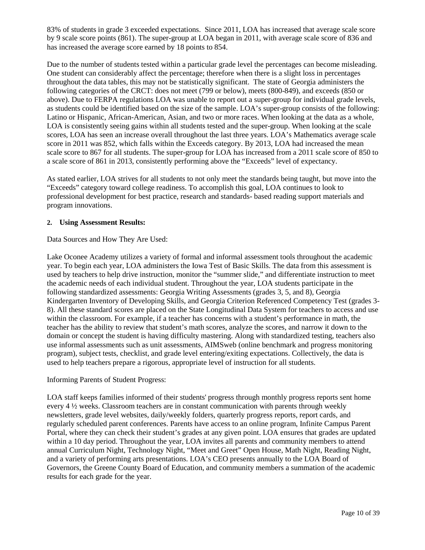83% of students in grade 3 exceeded expectations. Since 2011, LOA has increased that average scale score by 9 scale score points (861). The super-group at LOA began in 2011, with average scale score of 836 and has increased the average score earned by 18 points to 854.

Due to the number of students tested within a particular grade level the percentages can become misleading. One student can considerably affect the percentage; therefore when there is a slight loss in percentages throughout the data tables, this may not be statistically significant. The state of Georgia administers the following categories of the CRCT: does not meet (799 or below), meets (800-849), and exceeds (850 or above). Due to FERPA regulations LOA was unable to report out a super-group for individual grade levels, as students could be identified based on the size of the sample. LOA's super-group consists of the following: Latino or Hispanic, African-American, Asian, and two or more races. When looking at the data as a whole, LOA is consistently seeing gains within all students tested and the super-group. When looking at the scale scores, LOA has seen an increase overall throughout the last three years. LOA's Mathematics average scale score in 2011 was 852, which falls within the Exceeds category. By 2013, LOA had increased the mean scale score to 867 for all students. The super-group for LOA has increased from a 2011 scale score of 850 to a scale score of 861 in 2013, consistently performing above the "Exceeds" level of expectancy.

As stated earlier, LOA strives for all students to not only meet the standards being taught, but move into the "Exceeds" category toward college readiness. To accomplish this goal, LOA continues to look to professional development for best practice, research and standards- based reading support materials and program innovations.

### **2. Using Assessment Results:**

Data Sources and How They Are Used:

Lake Oconee Academy utilizes a variety of formal and informal assessment tools throughout the academic year. To begin each year, LOA administers the Iowa Test of Basic Skills. The data from this assessment is used by teachers to help drive instruction, monitor the "summer slide," and differentiate instruction to meet the academic needs of each individual student. Throughout the year, LOA students participate in the following standardized assessments: Georgia Writing Assessments (grades 3, 5, and 8), Georgia Kindergarten Inventory of Developing Skills, and Georgia Criterion Referenced Competency Test (grades 3- 8). All these standard scores are placed on the State Longitudinal Data System for teachers to access and use within the classroom. For example, if a teacher has concerns with a student's performance in math, the teacher has the ability to review that student's math scores, analyze the scores, and narrow it down to the domain or concept the student is having difficulty mastering. Along with standardized testing, teachers also use informal assessments such as unit assessments, AIMSweb (online benchmark and progress monitoring program), subject tests, checklist, and grade level entering/exiting expectations. Collectively, the data is used to help teachers prepare a rigorous, appropriate level of instruction for all students.

### Informing Parents of Student Progress:

LOA staff keeps families informed of their students' progress through monthly progress reports sent home every 4 ½ weeks. Classroom teachers are in constant communication with parents through weekly newsletters, grade level websites, daily/weekly folders, quarterly progress reports, report cards, and regularly scheduled parent conferences. Parents have access to an online program, Infinite Campus Parent Portal, where they can check their student's grades at any given point. LOA ensures that grades are updated within a 10 day period. Throughout the year, LOA invites all parents and community members to attend annual Curriculum Night, Technology Night, "Meet and Greet" Open House, Math Night, Reading Night, and a variety of performing arts presentations. LOA's CEO presents annually to the LOA Board of Governors, the Greene County Board of Education, and community members a summation of the academic results for each grade for the year.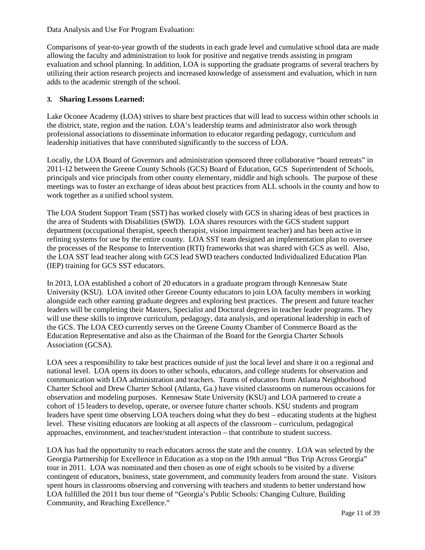Data Analysis and Use For Program Evaluation:

Comparisons of year-to-year growth of the students in each grade level and cumulative school data are made allowing the faculty and administration to look for positive and negative trends assisting in program evaluation and school planning. In addition, LOA is supporting the graduate programs of several teachers by utilizing their action research projects and increased knowledge of assessment and evaluation, which in turn adds to the academic strength of the school.

### **3. Sharing Lessons Learned:**

Lake Oconee Academy (LOA) strives to share best practices that will lead to success within other schools in the district, state, region and the nation. LOA's leadership teams and administrator also work through professional associations to disseminate information to educator regarding pedagogy, curriculum and leadership initiatives that have contributed significantly to the success of LOA.

Locally, the LOA Board of Governors and administration sponsored three collaborative "board retreats" in 2011-12 between the Greene County Schools (GCS) Board of Education, GCS Superintendent of Schools, principals and vice principals from other county elementary, middle and high schools. The purpose of these meetings was to foster an exchange of ideas about best practices from ALL schools in the county and how to work together as a unified school system.

The LOA Student Support Team (SST) has worked closely with GCS in sharing ideas of best practices in the area of Students with Disabilities (SWD). LOA shares resources with the GCS student support department (occupational therapist, speech therapist, vision impairment teacher) and has been active in refining systems for use by the entire county. LOA SST team designed an implementation plan to oversee the processes of the Response to Intervention (RTI) frameworks that was shared with GCS as well. Also, the LOA SST lead teacher along with GCS lead SWD teachers conducted Individualized Education Plan (IEP) training for GCS SST educators.

In 2013, LOA established a cohort of 20 educators in a graduate program through Kennesaw State University (KSU). LOA invited other Greene County educators to join LOA faculty members in working alongside each other earning graduate degrees and exploring best practices. The present and future teacher leaders will be completing their Masters, Specialist and Doctoral degrees in teacher leader programs. They will use these skills to improve curriculum, pedagogy, data analysis, and operational leadership in each of the GCS. The LOA CEO currently serves on the Greene County Chamber of Commerce Board as the Education Representative and also as the Chairman of the Board for the Georgia Charter Schools Association (GCSA).

LOA sees a responsibility to take best practices outside of just the local level and share it on a regional and national level. LOA opens its doors to other schools, educators, and college students for observation and communication with LOA administration and teachers. Teams of educators from Atlanta Neighborhood Charter School and Drew Charter School (Atlanta, Ga.) have visited classrooms on numerous occasions for observation and modeling purposes. Kennesaw State University (KSU) and LOA partnered to create a cohort of 15 leaders to develop, operate, or oversee future charter schools. KSU students and program leaders have spent time observing LOA teachers doing what they do best – educating students at the highest level. These visiting educators are looking at all aspects of the classroom – curriculum, pedagogical approaches, environment, and teacher/student interaction – that contribute to student success.

LOA has had the opportunity to reach educators across the state and the country. LOA was selected by the Georgia Partnership for Excellence in Education as a stop on the 19th annual "Bus Trip Across Georgia" tour in 2011. LOA was nominated and then chosen as one of eight schools to be visited by a diverse contingent of educators, business, state government, and community leaders from around the state. Visitors spent hours in classrooms observing and conversing with teachers and students to better understand how LOA fulfilled the 2011 bus tour theme of "Georgia's Public Schools: Changing Culture, Building Community, and Reaching Excellence."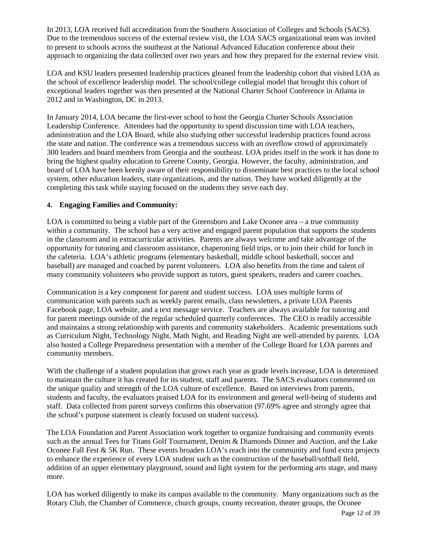In 2013, LOA received full accreditation from the Southern Association of Colleges and Schools (SACS). Due to the tremendous success of the external review visit, the LOA SACS organizational team was invited to present to schools across the southeast at the National Advanced Education conference about their approach to organizing the data collected over two years and how they prepared for the external review visit.

LOA and KSU leaders presented leadership practices gleaned from the leadership cohort that visited LOA as the school of excellence leadership model. The school/college collegial model that brought this cohort of exceptional leaders together was then presented at the National Charter School Conference in Atlanta in 2012 and in Washington, DC in 2013.

In January 2014, LOA became the first-ever school to host the Georgia Charter Schools Association Leadership Conference. Attendees had the opportunity to spend discussion time with LOA teachers, administration and the LOA Board, while also studying other successful leadership practices found across the state and nation. The conference was a tremendous success with an overflow crowd of approximately 300 leaders and board members from Georgia and the southeast. LOA prides itself in the work it has done to bring the highest quality education to Greene County, Georgia. However, the faculty, administration, and board of LOA have been keenly aware of their responsibility to disseminate best practices to the local school system, other education leaders, state organizations, and the nation. They have worked diligently at the completing this task while staying focused on the students they serve each day.

### **4. Engaging Families and Community:**

LOA is committed to being a viable part of the Greensboro and Lake Oconee area – a true community within a community. The school has a very active and engaged parent population that supports the students in the classroom and in extracurricular activities. Parents are always welcome and take advantage of the opportunity for tutoring and classroom assistance, chaperoning field trips, or to join their child for lunch in the cafeteria. LOA's athletic programs (elementary basketball, middle school basketball, soccer and baseball) are managed and coached by parent volunteers. LOA also benefits from the time and talent of many community volunteers who provide support as tutors, guest speakers, readers and career coaches.

Communication is a key component for parent and student success. LOA uses multiple forms of communication with parents such as weekly parent emails, class newsletters, a private LOA Parents Facebook page, LOA website, and a text message service. Teachers are always available for tutoring and for parent meetings outside of the regular scheduled quarterly conferences. The CEO is readily accessible and maintains a strong relationship with parents and community stakeholders. Academic presentations such as Curriculum Night, Technology Night, Math Night, and Reading Night are well-attended by parents. LOA also hosted a College Preparedness presentation with a member of the College Board for LOA parents and community members.

With the challenge of a student population that grows each year as grade levels increase, LOA is determined to maintain the culture it has created for its student, staff and parents. The SACS evaluators commented on the unique quality and strength of the LOA culture of excellence. Based on interviews from parents, students and faculty, the evaluators praised LOA for its environment and general well-being of students and staff. Data collected from parent surveys confirms this observation (97.69% agree and strongly agree that the school's purpose statement is clearly focused on student success).

The LOA Foundation and Parent Association work together to organize fundraising and community events such as the annual Tees for Titans Golf Tournament, Denim & Diamonds Dinner and Auction, and the Lake Oconee Fall Fest & 5K Run. These events broaden LOA's reach into the community and fund extra projects to enhance the experience of every LOA student such as the construction of the baseball/softball field, addition of an upper elementary playground, sound and light system for the performing arts stage, and many more.

LOA has worked diligently to make its campus available to the community. Many organizations such as the Rotary Club, the Chamber of Commerce, church groups, county recreation, theater groups, the Oconee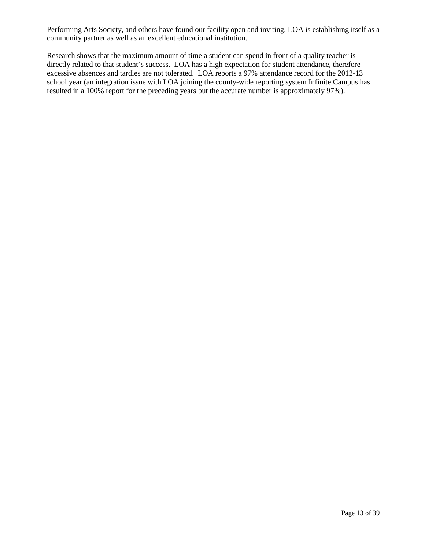Performing Arts Society, and others have found our facility open and inviting. LOA is establishing itself as a community partner as well as an excellent educational institution.

Research shows that the maximum amount of time a student can spend in front of a quality teacher is directly related to that student's success. LOA has a high expectation for student attendance, therefore excessive absences and tardies are not tolerated. LOA reports a 97% attendance record for the 2012-13 school year (an integration issue with LOA joining the county-wide reporting system Infinite Campus has resulted in a 100% report for the preceding years but the accurate number is approximately 97%).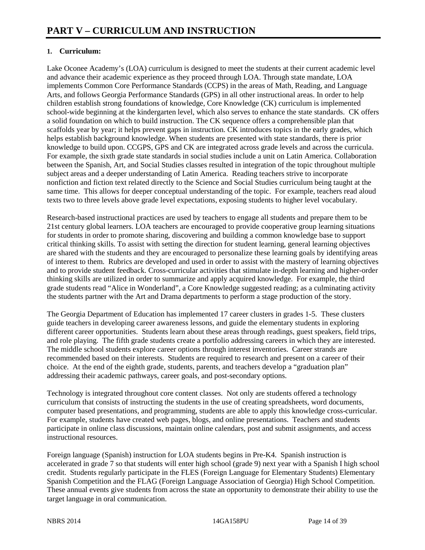### **1. Curriculum:**

Lake Oconee Academy's (LOA) curriculum is designed to meet the students at their current academic level and advance their academic experience as they proceed through LOA. Through state mandate, LOA implements Common Core Performance Standards (CCPS) in the areas of Math, Reading, and Language Arts, and follows Georgia Performance Standards (GPS) in all other instructional areas. In order to help children establish strong foundations of knowledge, Core Knowledge (CK) curriculum is implemented school-wide beginning at the kindergarten level, which also serves to enhance the state standards. CK offers a solid foundation on which to build instruction. The CK sequence offers a comprehensible plan that scaffolds year by year; it helps prevent gaps in instruction. CK introduces topics in the early grades, which helps establish background knowledge. When students are presented with state standards, there is prior knowledge to build upon. CCGPS, GPS and CK are integrated across grade levels and across the curricula. For example, the sixth grade state standards in social studies include a unit on Latin America. Collaboration between the Spanish, Art, and Social Studies classes resulted in integration of the topic throughout multiple subject areas and a deeper understanding of Latin America. Reading teachers strive to incorporate nonfiction and fiction text related directly to the Science and Social Studies curriculum being taught at the same time. This allows for deeper conceptual understanding of the topic. For example, teachers read aloud texts two to three levels above grade level expectations, exposing students to higher level vocabulary.

Research-based instructional practices are used by teachers to engage all students and prepare them to be 21st century global learners. LOA teachers are encouraged to provide cooperative group learning situations for students in order to promote sharing, discovering and building a common knowledge base to support critical thinking skills. To assist with setting the direction for student learning, general learning objectives are shared with the students and they are encouraged to personalize these learning goals by identifying areas of interest to them. Rubrics are developed and used in order to assist with the mastery of learning objectives and to provide student feedback. Cross-curricular activities that stimulate in-depth learning and higher-order thinking skills are utilized in order to summarize and apply acquired knowledge. For example, the third grade students read "Alice in Wonderland", a Core Knowledge suggested reading; as a culminating activity the students partner with the Art and Drama departments to perform a stage production of the story.

The Georgia Department of Education has implemented 17 career clusters in grades 1-5. These clusters guide teachers in developing career awareness lessons, and guide the elementary students in exploring different career opportunities. Students learn about these areas through readings, guest speakers, field trips, and role playing. The fifth grade students create a portfolio addressing careers in which they are interested. The middle school students explore career options through interest inventories. Career strands are recommended based on their interests. Students are required to research and present on a career of their choice. At the end of the eighth grade, students, parents, and teachers develop a "graduation plan" addressing their academic pathways, career goals, and post-secondary options.

Technology is integrated throughout core content classes. Not only are students offered a technology curriculum that consists of instructing the students in the use of creating spreadsheets, word documents, computer based presentations, and programming, students are able to apply this knowledge cross-curricular. For example, students have created web pages, blogs, and online presentations. Teachers and students participate in online class discussions, maintain online calendars, post and submit assignments, and access instructional resources.

Foreign language (Spanish) instruction for LOA students begins in Pre-K4. Spanish instruction is accelerated in grade 7 so that students will enter high school (grade 9) next year with a Spanish I high school credit. Students regularly participate in the FLES (Foreign Language for Elementary Students) Elementary Spanish Competition and the FLAG (Foreign Language Association of Georgia) High School Competition. These annual events give students from across the state an opportunity to demonstrate their ability to use the target language in oral communication.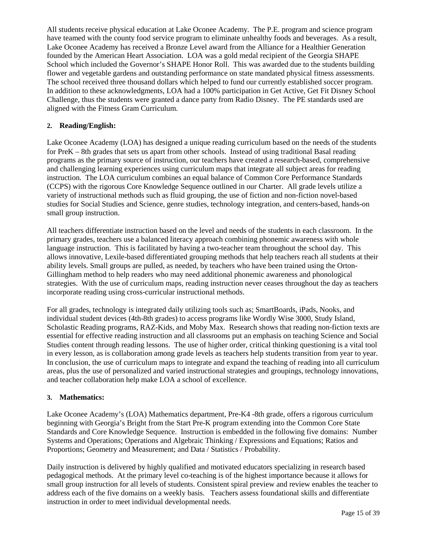All students receive physical education at Lake Oconee Academy. The P.E. program and science program have teamed with the county food service program to eliminate unhealthy foods and beverages. As a result, Lake Oconee Academy has received a Bronze Level award from the Alliance for a Healthier Generation founded by the American Heart Association. LOA was a gold medal recipient of the Georgia SHAPE School which included the Governor's SHAPE Honor Roll. This was awarded due to the students building flower and vegetable gardens and outstanding performance on state mandated physical fitness assessments. The school received three thousand dollars which helped to fund our currently established soccer program. In addition to these acknowledgments, LOA had a 100% participation in Get Active, Get Fit Disney School Challenge, thus the students were granted a dance party from Radio Disney. The PE standards used are aligned with the Fitness Gram Curriculum.

### **2. Reading/English:**

Lake Oconee Academy (LOA) has designed a unique reading curriculum based on the needs of the students for PreK – 8th grades that sets us apart from other schools. Instead of using traditional Basal reading programs as the primary source of instruction, our teachers have created a research-based, comprehensive and challenging learning experiences using curriculum maps that integrate all subject areas for reading instruction. The LOA curriculum combines an equal balance of Common Core Performance Standards (CCPS) with the rigorous Core Knowledge Sequence outlined in our Charter. All grade levels utilize a variety of instructional methods such as fluid grouping, the use of fiction and non-fiction novel-based studies for Social Studies and Science, genre studies, technology integration, and centers-based, hands-on small group instruction.

All teachers differentiate instruction based on the level and needs of the students in each classroom. In the primary grades, teachers use a balanced literacy approach combining phonemic awareness with whole language instruction. This is facilitated by having a two-teacher team throughout the school day. This allows innovative, Lexile-based differentiated grouping methods that help teachers reach all students at their ability levels. Small groups are pulled, as needed, by teachers who have been trained using the Orton-Gillingham method to help readers who may need additional phonemic awareness and phonological strategies. With the use of curriculum maps, reading instruction never ceases throughout the day as teachers incorporate reading using cross-curricular instructional methods.

For all grades, technology is integrated daily utilizing tools such as; SmartBoards, iPads, Nooks, and individual student devices (4th-8th grades) to access programs like Wordly Wise 3000, Study Island, Scholastic Reading programs, RAZ-Kids, and Moby Max. Research shows that reading non-fiction texts are essential for effective reading instruction and all classrooms put an emphasis on teaching Science and Social Studies content through reading lessons. The use of higher order, critical thinking questioning is a vital tool in every lesson, as is collaboration among grade levels as teachers help students transition from year to year. In conclusion, the use of curriculum maps to integrate and expand the teaching of reading into all curriculum areas, plus the use of personalized and varied instructional strategies and groupings, technology innovations, and teacher collaboration help make LOA a school of excellence.

### **3. Mathematics:**

Lake Oconee Academy's (LOA) Mathematics department, Pre-K4 -8th grade, offers a rigorous curriculum beginning with Georgia's Bright from the Start Pre-K program extending into the Common Core State Standards and Core Knowledge Sequence. Instruction is embedded in the following five domains: Number Systems and Operations; Operations and Algebraic Thinking / Expressions and Equations; Ratios and Proportions; Geometry and Measurement; and Data / Statistics / Probability.

Daily instruction is delivered by highly qualified and motivated educators specializing in research based pedagogical methods. At the primary level co-teaching is of the highest importance because it allows for small group instruction for all levels of students. Consistent spiral preview and review enables the teacher to address each of the five domains on a weekly basis. Teachers assess foundational skills and differentiate instruction in order to meet individual developmental needs.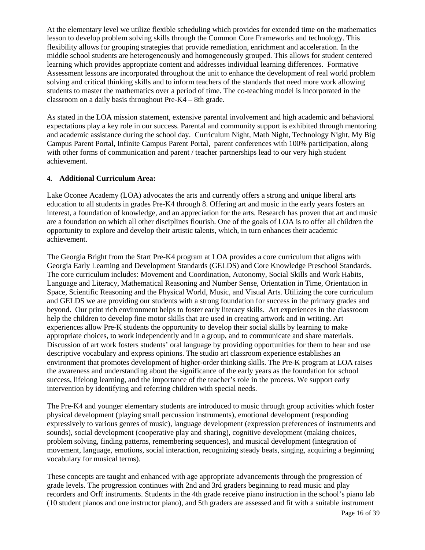At the elementary level we utilize flexible scheduling which provides for extended time on the mathematics lesson to develop problem solving skills through the Common Core Frameworks and technology. This flexibility allows for grouping strategies that provide remediation, enrichment and acceleration. In the middle school students are heterogeneously and homogeneously grouped. This allows for student centered learning which provides appropriate content and addresses individual learning differences. Formative Assessment lessons are incorporated throughout the unit to enhance the development of real world problem solving and critical thinking skills and to inform teachers of the standards that need more work allowing students to master the mathematics over a period of time. The co-teaching model is incorporated in the classroom on a daily basis throughout Pre-K4 – 8th grade.

As stated in the LOA mission statement, extensive parental involvement and high academic and behavioral expectations play a key role in our success. Parental and community support is exhibited through mentoring and academic assistance during the school day. Curriculum Night, Math Night, Technology Night, My Big Campus Parent Portal, Infinite Campus Parent Portal, parent conferences with 100% participation, along with other forms of communication and parent / teacher partnerships lead to our very high student achievement.

### **4. Additional Curriculum Area:**

Lake Oconee Academy (LOA) advocates the arts and currently offers a strong and unique liberal arts education to all students in grades Pre-K4 through 8. Offering art and music in the early years fosters an interest, a foundation of knowledge, and an appreciation for the arts. Research has proven that art and music are a foundation on which all other disciplines flourish. One of the goals of LOA is to offer all children the opportunity to explore and develop their artistic talents, which, in turn enhances their academic achievement.

The Georgia Bright from the Start Pre-K4 program at LOA provides a core curriculum that aligns with Georgia Early Learning and Development Standards (GELDS) and Core Knowledge Preschool Standards. The core curriculum includes: Movement and Coordination, Autonomy, Social Skills and Work Habits, Language and Literacy, Mathematical Reasoning and Number Sense, Orientation in Time, Orientation in Space, Scientific Reasoning and the Physical World, Music, and Visual Arts. Utilizing the core curriculum and GELDS we are providing our students with a strong foundation for success in the primary grades and beyond. Our print rich environment helps to foster early literacy skills. Art experiences in the classroom help the children to develop fine motor skills that are used in creating artwork and in writing. Art experiences allow Pre-K students the opportunity to develop their social skills by learning to make appropriate choices, to work independently and in a group, and to communicate and share materials. Discussion of art work fosters students' oral language by providing opportunities for them to hear and use descriptive vocabulary and express opinions. The studio art classroom experience establishes an environment that promotes development of higher-order thinking skills. The Pre-K program at LOA raises the awareness and understanding about the significance of the early years as the foundation for school success, lifelong learning, and the importance of the teacher's role in the process. We support early intervention by identifying and referring children with special needs.

The Pre-K4 and younger elementary students are introduced to music through group activities which foster physical development (playing small percussion instruments), emotional development (responding expressively to various genres of music), language development (expression preferences of instruments and sounds), social development (cooperative play and sharing), cognitive development (making choices, problem solving, finding patterns, remembering sequences), and musical development (integration of movement, language, emotions, social interaction, recognizing steady beats, singing, acquiring a beginning vocabulary for musical terms).

These concepts are taught and enhanced with age appropriate advancements through the progression of grade levels. The progression continues with 2nd and 3rd graders beginning to read music and play recorders and Orff instruments. Students in the 4th grade receive piano instruction in the school's piano lab (10 student pianos and one instructor piano), and 5th graders are assessed and fit with a suitable instrument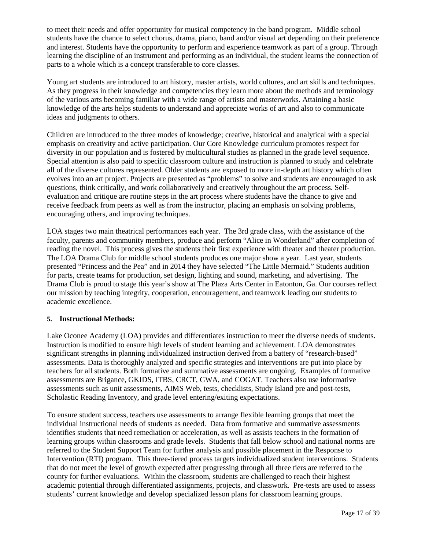to meet their needs and offer opportunity for musical competency in the band program. Middle school students have the chance to select chorus, drama, piano, band and/or visual art depending on their preference and interest. Students have the opportunity to perform and experience teamwork as part of a group. Through learning the discipline of an instrument and performing as an individual, the student learns the connection of parts to a whole which is a concept transferable to core classes.

Young art students are introduced to art history, master artists, world cultures, and art skills and techniques. As they progress in their knowledge and competencies they learn more about the methods and terminology of the various arts becoming familiar with a wide range of artists and masterworks. Attaining a basic knowledge of the arts helps students to understand and appreciate works of art and also to communicate ideas and judgments to others.

Children are introduced to the three modes of knowledge; creative, historical and analytical with a special emphasis on creativity and active participation. Our Core Knowledge curriculum promotes respect for diversity in our population and is fostered by multicultural studies as planned in the grade level sequence. Special attention is also paid to specific classroom culture and instruction is planned to study and celebrate all of the diverse cultures represented. Older students are exposed to more in-depth art history which often evolves into an art project. Projects are presented as "problems" to solve and students are encouraged to ask questions, think critically, and work collaboratively and creatively throughout the art process. Selfevaluation and critique are routine steps in the art process where students have the chance to give and receive feedback from peers as well as from the instructor, placing an emphasis on solving problems, encouraging others, and improving techniques.

LOA stages two main theatrical performances each year. The 3rd grade class, with the assistance of the faculty, parents and community members, produce and perform "Alice in Wonderland" after completion of reading the novel. This process gives the students their first experience with theater and theater production. The LOA Drama Club for middle school students produces one major show a year. Last year, students presented "Princess and the Pea" and in 2014 they have selected "The Little Mermaid." Students audition for parts, create teams for production, set design, lighting and sound, marketing, and advertising. The Drama Club is proud to stage this year's show at The Plaza Arts Center in Eatonton, Ga. Our courses reflect our mission by teaching integrity, cooperation, encouragement, and teamwork leading our students to academic excellence.

### **5. Instructional Methods:**

Lake Oconee Academy (LOA) provides and differentiates instruction to meet the diverse needs of students. Instruction is modified to ensure high levels of student learning and achievement. LOA demonstrates significant strengths in planning individualized instruction derived from a battery of "research-based" assessments. Data is thoroughly analyzed and specific strategies and interventions are put into place by teachers for all students. Both formative and summative assessments are ongoing. Examples of formative assessments are Brigance, GKIDS, ITBS, CRCT, GWA, and COGAT. Teachers also use informative assessments such as unit assessments, AIMS Web, tests, checklists, Study Island pre and post-tests, Scholastic Reading Inventory, and grade level entering/exiting expectations.

To ensure student success, teachers use assessments to arrange flexible learning groups that meet the individual instructional needs of students as needed. Data from formative and summative assessments identifies students that need remediation or acceleration, as well as assists teachers in the formation of learning groups within classrooms and grade levels. Students that fall below school and national norms are referred to the Student Support Team for further analysis and possible placement in the Response to Intervention (RTI) program. This three-tiered process targets individualized student interventions. Students that do not meet the level of growth expected after progressing through all three tiers are referred to the county for further evaluations. Within the classroom, students are challenged to reach their highest academic potential through differentiated assignments, projects, and classwork. Pre-tests are used to assess students' current knowledge and develop specialized lesson plans for classroom learning groups.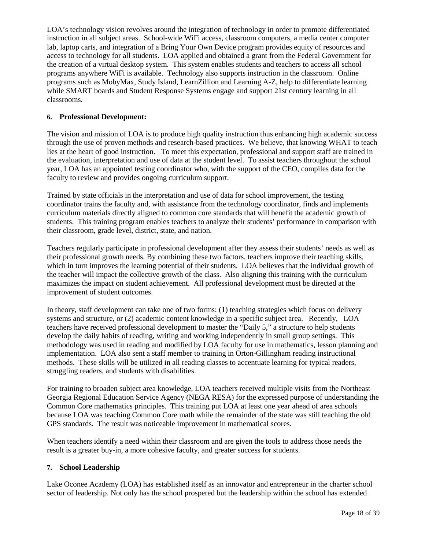LOA's technology vision revolves around the integration of technology in order to promote differentiated instruction in all subject areas. School-wide WiFi access, classroom computers, a media center computer lab, laptop carts, and integration of a Bring Your Own Device program provides equity of resources and access to technology for all students. LOA applied and obtained a grant from the Federal Government for the creation of a virtual desktop system. This system enables students and teachers to access all school programs anywhere WiFi is available. Technology also supports instruction in the classroom. Online programs such as MobyMax, Study Island, LearnZillion and Learning A-Z, help to differentiate learning while SMART boards and Student Response Systems engage and support 21st century learning in all classrooms.

### **6. Professional Development:**

The vision and mission of LOA is to produce high quality instruction thus enhancing high academic success through the use of proven methods and research-based practices. We believe, that knowing WHAT to teach lies at the heart of good instruction. To meet this expectation, professional and support staff are trained in the evaluation, interpretation and use of data at the student level. To assist teachers throughout the school year, LOA has an appointed testing coordinator who, with the support of the CEO, compiles data for the faculty to review and provides ongoing curriculum support.

Trained by state officials in the interpretation and use of data for school improvement, the testing coordinator trains the faculty and, with assistance from the technology coordinator, finds and implements curriculum materials directly aligned to common core standards that will benefit the academic growth of students. This training program enables teachers to analyze their students' performance in comparison with their classroom, grade level, district, state, and nation.

Teachers regularly participate in professional development after they assess their students' needs as well as their professional growth needs. By combining these two factors, teachers improve their teaching skills, which in turn improves the learning potential of their students. LOA believes that the individual growth of the teacher will impact the collective growth of the class. Also aligning this training with the curriculum maximizes the impact on student achievement. All professional development must be directed at the improvement of student outcomes.

In theory, staff development can take one of two forms: (1) teaching strategies which focus on delivery systems and structure, or (2) academic content knowledge in a specific subject area. Recently, LOA teachers have received professional development to master the "Daily 5," a structure to help students develop the daily habits of reading, writing and working independently in small group settings. This methodology was used in reading and modified by LOA faculty for use in mathematics, lesson planning and implementation. LOA also sent a staff member to training in Orton-Gillingham reading instructional methods. These skills will be utilized in all reading classes to accentuate learning for typical readers, struggling readers, and students with disabilities.

For training to broaden subject area knowledge, LOA teachers received multiple visits from the Northeast Georgia Regional Education Service Agency (NEGA RESA) for the expressed purpose of understanding the Common Core mathematics principles. This training put LOA at least one year ahead of area schools because LOA was teaching Common Core math while the remainder of the state was still teaching the old GPS standards. The result was noticeable improvement in mathematical scores.

When teachers identify a need within their classroom and are given the tools to address those needs the result is a greater buy-in, a more cohesive faculty, and greater success for students.

### **7. School Leadership**

Lake Oconee Academy (LOA) has established itself as an innovator and entrepreneur in the charter school sector of leadership. Not only has the school prospered but the leadership within the school has extended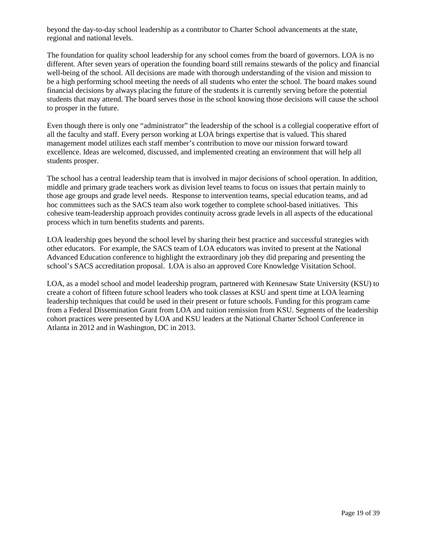beyond the day-to-day school leadership as a contributor to Charter School advancements at the state, regional and national levels.

The foundation for quality school leadership for any school comes from the board of governors. LOA is no different. After seven years of operation the founding board still remains stewards of the policy and financial well-being of the school. All decisions are made with thorough understanding of the vision and mission to be a high performing school meeting the needs of all students who enter the school. The board makes sound financial decisions by always placing the future of the students it is currently serving before the potential students that may attend. The board serves those in the school knowing those decisions will cause the school to prosper in the future.

Even though there is only one "administrator" the leadership of the school is a collegial cooperative effort of all the faculty and staff. Every person working at LOA brings expertise that is valued. This shared management model utilizes each staff member's contribution to move our mission forward toward excellence. Ideas are welcomed, discussed, and implemented creating an environment that will help all students prosper.

The school has a central leadership team that is involved in major decisions of school operation. In addition, middle and primary grade teachers work as division level teams to focus on issues that pertain mainly to those age groups and grade level needs. Response to intervention teams, special education teams, and ad hoc committees such as the SACS team also work together to complete school-based initiatives. This cohesive team-leadership approach provides continuity across grade levels in all aspects of the educational process which in turn benefits students and parents.

LOA leadership goes beyond the school level by sharing their best practice and successful strategies with other educators. For example, the SACS team of LOA educators was invited to present at the National Advanced Education conference to highlight the extraordinary job they did preparing and presenting the school's SACS accreditation proposal. LOA is also an approved Core Knowledge Visitation School.

LOA, as a model school and model leadership program, partnered with Kennesaw State University (KSU) to create a cohort of fifteen future school leaders who took classes at KSU and spent time at LOA learning leadership techniques that could be used in their present or future schools. Funding for this program came from a Federal Dissemination Grant from LOA and tuition remission from KSU. Segments of the leadership cohort practices were presented by LOA and KSU leaders at the National Charter School Conference in Atlanta in 2012 and in Washington, DC in 2013.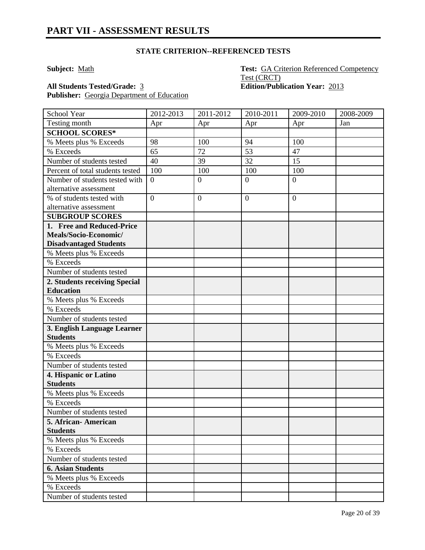**Subject:** Math **Test:** GA Criterion Referenced Competency Test (CRCT) **All Students Tested/Grade:** 3 **Edition/Publication Year:** 2013

Publisher: **Georgia Department of Education** 

| School Year                                    | 2012-2013      | 2011-2012      | 2010-2011        | 2009-2010       | 2008-2009 |
|------------------------------------------------|----------------|----------------|------------------|-----------------|-----------|
| Testing month                                  | Apr            | Apr            | Apr              | Apr             | Jan       |
| <b>SCHOOL SCORES*</b>                          |                |                |                  |                 |           |
| % Meets plus % Exceeds                         | 98             | 100            | 94               | 100             |           |
| % Exceeds                                      | 65             | 72             | 53               | 47              |           |
| Number of students tested                      | 40             | 39             | 32               | $\overline{15}$ |           |
| Percent of total students tested               | 100            | 100            | 100              | 100             |           |
| Number of students tested with                 | $\overline{0}$ | $\overline{0}$ | $\overline{0}$   | $\overline{0}$  |           |
| alternative assessment                         |                |                |                  |                 |           |
| % of students tested with                      | $\overline{0}$ | $\mathbf{0}$   | $\boldsymbol{0}$ | $\overline{0}$  |           |
| alternative assessment                         |                |                |                  |                 |           |
| <b>SUBGROUP SCORES</b>                         |                |                |                  |                 |           |
| 1. Free and Reduced-Price                      |                |                |                  |                 |           |
| Meals/Socio-Economic/                          |                |                |                  |                 |           |
| <b>Disadvantaged Students</b>                  |                |                |                  |                 |           |
| % Meets plus % Exceeds                         |                |                |                  |                 |           |
| % Exceeds                                      |                |                |                  |                 |           |
| Number of students tested                      |                |                |                  |                 |           |
| 2. Students receiving Special                  |                |                |                  |                 |           |
| <b>Education</b>                               |                |                |                  |                 |           |
| % Meets plus % Exceeds                         |                |                |                  |                 |           |
| % Exceeds                                      |                |                |                  |                 |           |
| Number of students tested                      |                |                |                  |                 |           |
| 3. English Language Learner<br><b>Students</b> |                |                |                  |                 |           |
| % Meets plus % Exceeds                         |                |                |                  |                 |           |
| % Exceeds                                      |                |                |                  |                 |           |
| Number of students tested                      |                |                |                  |                 |           |
| 4. Hispanic or Latino                          |                |                |                  |                 |           |
| <b>Students</b>                                |                |                |                  |                 |           |
| % Meets plus % Exceeds                         |                |                |                  |                 |           |
| % Exceeds                                      |                |                |                  |                 |           |
| Number of students tested                      |                |                |                  |                 |           |
| 5. African-American                            |                |                |                  |                 |           |
| <b>Students</b>                                |                |                |                  |                 |           |
| % Meets plus % Exceeds                         |                |                |                  |                 |           |
| % Exceeds                                      |                |                |                  |                 |           |
| Number of students tested                      |                |                |                  |                 |           |
| <b>6. Asian Students</b>                       |                |                |                  |                 |           |
| % Meets plus % Exceeds                         |                |                |                  |                 |           |
| % Exceeds                                      |                |                |                  |                 |           |
| Number of students tested                      |                |                |                  |                 |           |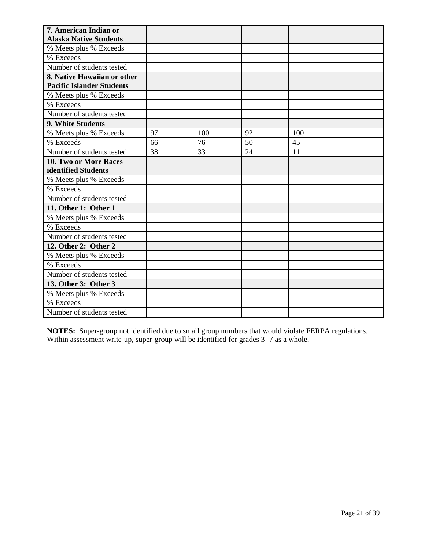| 7. American Indian or            |    |     |    |     |  |
|----------------------------------|----|-----|----|-----|--|
| <b>Alaska Native Students</b>    |    |     |    |     |  |
| % Meets plus % Exceeds           |    |     |    |     |  |
| % Exceeds                        |    |     |    |     |  |
| Number of students tested        |    |     |    |     |  |
| 8. Native Hawaiian or other      |    |     |    |     |  |
| <b>Pacific Islander Students</b> |    |     |    |     |  |
| % Meets plus % Exceeds           |    |     |    |     |  |
| % Exceeds                        |    |     |    |     |  |
| Number of students tested        |    |     |    |     |  |
| 9. White Students                |    |     |    |     |  |
| % Meets plus % Exceeds           | 97 | 100 | 92 | 100 |  |
| % Exceeds                        | 66 | 76  | 50 | 45  |  |
| Number of students tested        | 38 | 33  | 24 | 11  |  |
| 10. Two or More Races            |    |     |    |     |  |
| identified Students              |    |     |    |     |  |
| % Meets plus % Exceeds           |    |     |    |     |  |
| % Exceeds                        |    |     |    |     |  |
| Number of students tested        |    |     |    |     |  |
| 11. Other 1: Other 1             |    |     |    |     |  |
| % Meets plus % Exceeds           |    |     |    |     |  |
| % Exceeds                        |    |     |    |     |  |
| Number of students tested        |    |     |    |     |  |
| 12. Other 2: Other 2             |    |     |    |     |  |
| % Meets plus % Exceeds           |    |     |    |     |  |
| % Exceeds                        |    |     |    |     |  |
| Number of students tested        |    |     |    |     |  |
| 13. Other 3: Other 3             |    |     |    |     |  |
| % Meets plus % Exceeds           |    |     |    |     |  |
| % Exceeds                        |    |     |    |     |  |
| Number of students tested        |    |     |    |     |  |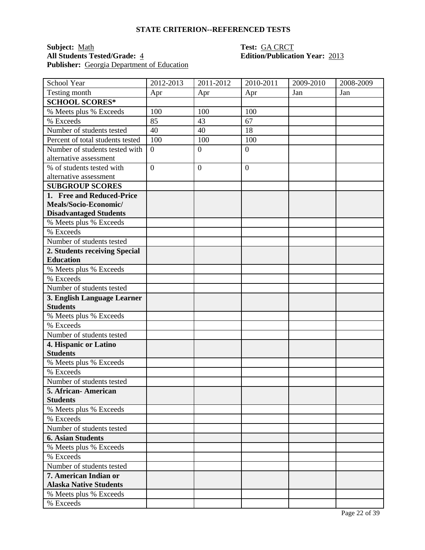## **Subject:** <u>Math</u> **Test:** <u>GA CRCT</u><br> **All Students Tested/Grade:** 4 **Test: GA CRCT**<br> **Edition/Publication** Publisher: Georgia Department of Education

# **All Students Tested/Grade:** 4 **Edition/Publication Year:** 2013

| School Year                      | 2012-2013      | 2011-2012        | 2010-2011      | 2009-2010 | 2008-2009 |
|----------------------------------|----------------|------------------|----------------|-----------|-----------|
| Testing month                    | Apr            | Apr              | Apr            | Jan       | Jan       |
| <b>SCHOOL SCORES*</b>            |                |                  |                |           |           |
| % Meets plus % Exceeds           | 100            | 100              | 100            |           |           |
| % Exceeds                        | 85             | 43               | 67             |           |           |
| Number of students tested        | 40             | 40               | 18             |           |           |
| Percent of total students tested | 100            | 100              | 100            |           |           |
| Number of students tested with   | $\overline{0}$ | $\overline{0}$   | $\overline{0}$ |           |           |
| alternative assessment           |                |                  |                |           |           |
| % of students tested with        | $\overline{0}$ | $\boldsymbol{0}$ | $\overline{0}$ |           |           |
| alternative assessment           |                |                  |                |           |           |
| <b>SUBGROUP SCORES</b>           |                |                  |                |           |           |
| 1. Free and Reduced-Price        |                |                  |                |           |           |
| Meals/Socio-Economic/            |                |                  |                |           |           |
| <b>Disadvantaged Students</b>    |                |                  |                |           |           |
| % Meets plus % Exceeds           |                |                  |                |           |           |
| % Exceeds                        |                |                  |                |           |           |
| Number of students tested        |                |                  |                |           |           |
| 2. Students receiving Special    |                |                  |                |           |           |
| <b>Education</b>                 |                |                  |                |           |           |
| % Meets plus % Exceeds           |                |                  |                |           |           |
| % Exceeds                        |                |                  |                |           |           |
| Number of students tested        |                |                  |                |           |           |
| 3. English Language Learner      |                |                  |                |           |           |
| <b>Students</b>                  |                |                  |                |           |           |
| % Meets plus % Exceeds           |                |                  |                |           |           |
| % Exceeds                        |                |                  |                |           |           |
| Number of students tested        |                |                  |                |           |           |
| 4. Hispanic or Latino            |                |                  |                |           |           |
| <b>Students</b>                  |                |                  |                |           |           |
| % Meets plus % Exceeds           |                |                  |                |           |           |
| % Exceeds                        |                |                  |                |           |           |
| Number of students tested        |                |                  |                |           |           |
| 5. African-American              |                |                  |                |           |           |
| <b>Students</b>                  |                |                  |                |           |           |
| % Meets plus % Exceeds           |                |                  |                |           |           |
| % Exceeds                        |                |                  |                |           |           |
| Number of students tested        |                |                  |                |           |           |
| <b>6. Asian Students</b>         |                |                  |                |           |           |
| % Meets plus % Exceeds           |                |                  |                |           |           |
| % Exceeds                        |                |                  |                |           |           |
| Number of students tested        |                |                  |                |           |           |
| 7. American Indian or            |                |                  |                |           |           |
| <b>Alaska Native Students</b>    |                |                  |                |           |           |
| % Meets plus % Exceeds           |                |                  |                |           |           |
| % Exceeds                        |                |                  |                |           |           |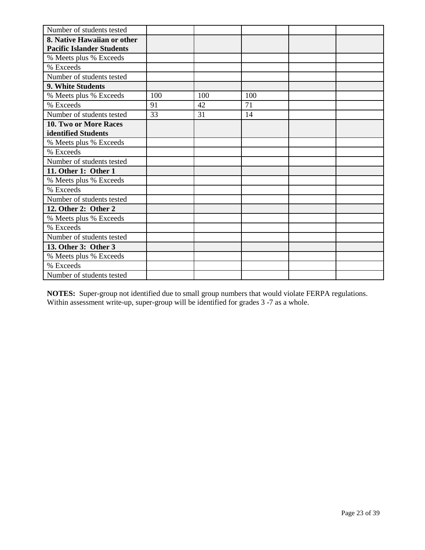| Number of students tested        |     |     |     |  |
|----------------------------------|-----|-----|-----|--|
| 8. Native Hawaiian or other      |     |     |     |  |
| <b>Pacific Islander Students</b> |     |     |     |  |
| % Meets plus % Exceeds           |     |     |     |  |
| % Exceeds                        |     |     |     |  |
| Number of students tested        |     |     |     |  |
| 9. White Students                |     |     |     |  |
| % Meets plus % Exceeds           | 100 | 100 | 100 |  |
| % Exceeds                        | 91  | 42  | 71  |  |
| Number of students tested        | 33  | 31  | 14  |  |
| <b>10. Two or More Races</b>     |     |     |     |  |
| identified Students              |     |     |     |  |
| % Meets plus % Exceeds           |     |     |     |  |
| % Exceeds                        |     |     |     |  |
| Number of students tested        |     |     |     |  |
| 11. Other 1: Other 1             |     |     |     |  |
| % Meets plus % Exceeds           |     |     |     |  |
| % Exceeds                        |     |     |     |  |
| Number of students tested        |     |     |     |  |
| 12. Other 2: Other 2             |     |     |     |  |
| % Meets plus % Exceeds           |     |     |     |  |
| % Exceeds                        |     |     |     |  |
| Number of students tested        |     |     |     |  |
| 13. Other 3: Other 3             |     |     |     |  |
| % Meets plus % Exceeds           |     |     |     |  |
| % Exceeds                        |     |     |     |  |
| Number of students tested        |     |     |     |  |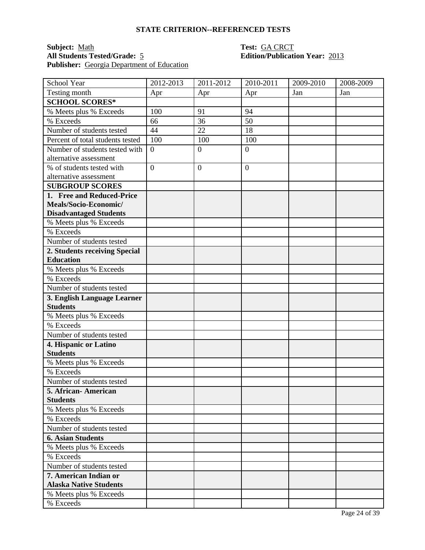### **Subject:** <u>Math **Test:** GA CRCT</u><br> **All Students Tested/Grade:** 5 **Test: GA CRCT**<br> **Edition/Publication Year:** 2013 **All Students Tested/Grade:** 5 **Edition/Publication Year:** 2013 **Publisher:** Georgia Department of Education

| School Year                      | 2012-2013      | 2011-2012        | 2010-2011      | 2009-2010 | 2008-2009 |
|----------------------------------|----------------|------------------|----------------|-----------|-----------|
| Testing month                    | Apr            | Apr              | Apr            | Jan       | Jan       |
| <b>SCHOOL SCORES*</b>            |                |                  |                |           |           |
| % Meets plus % Exceeds           | 100            | 91               | 94             |           |           |
| % Exceeds                        | 66             | 36               | 50             |           |           |
| Number of students tested        | 44             | 22               | 18             |           |           |
| Percent of total students tested | 100            | 100              | 100            |           |           |
| Number of students tested with   | $\overline{0}$ | $\overline{0}$   | $\overline{0}$ |           |           |
| alternative assessment           |                |                  |                |           |           |
| % of students tested with        | $\overline{0}$ | $\boldsymbol{0}$ | $\overline{0}$ |           |           |
| alternative assessment           |                |                  |                |           |           |
| <b>SUBGROUP SCORES</b>           |                |                  |                |           |           |
| 1. Free and Reduced-Price        |                |                  |                |           |           |
| Meals/Socio-Economic/            |                |                  |                |           |           |
| <b>Disadvantaged Students</b>    |                |                  |                |           |           |
| % Meets plus % Exceeds           |                |                  |                |           |           |
| % Exceeds                        |                |                  |                |           |           |
| Number of students tested        |                |                  |                |           |           |
| 2. Students receiving Special    |                |                  |                |           |           |
| <b>Education</b>                 |                |                  |                |           |           |
| % Meets plus % Exceeds           |                |                  |                |           |           |
| % Exceeds                        |                |                  |                |           |           |
| Number of students tested        |                |                  |                |           |           |
| 3. English Language Learner      |                |                  |                |           |           |
| <b>Students</b>                  |                |                  |                |           |           |
| % Meets plus % Exceeds           |                |                  |                |           |           |
| % Exceeds                        |                |                  |                |           |           |
| Number of students tested        |                |                  |                |           |           |
| 4. Hispanic or Latino            |                |                  |                |           |           |
| <b>Students</b>                  |                |                  |                |           |           |
| % Meets plus % Exceeds           |                |                  |                |           |           |
| % Exceeds                        |                |                  |                |           |           |
| Number of students tested        |                |                  |                |           |           |
| 5. African-American              |                |                  |                |           |           |
| <b>Students</b>                  |                |                  |                |           |           |
| % Meets plus % Exceeds           |                |                  |                |           |           |
| % Exceeds                        |                |                  |                |           |           |
| Number of students tested        |                |                  |                |           |           |
| <b>6. Asian Students</b>         |                |                  |                |           |           |
| % Meets plus % Exceeds           |                |                  |                |           |           |
| % Exceeds                        |                |                  |                |           |           |
| Number of students tested        |                |                  |                |           |           |
| 7. American Indian or            |                |                  |                |           |           |
| <b>Alaska Native Students</b>    |                |                  |                |           |           |
| % Meets plus % Exceeds           |                |                  |                |           |           |
| % Exceeds                        |                |                  |                |           |           |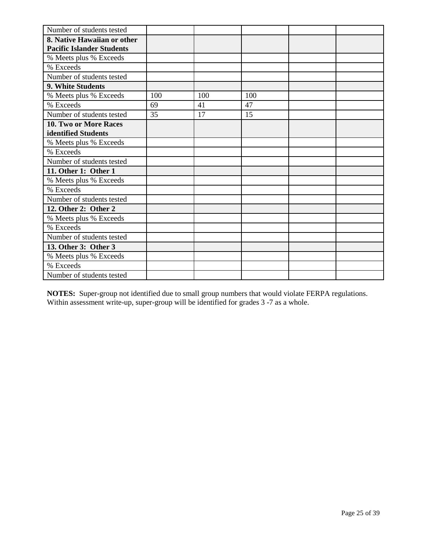| Number of students tested        |     |     |     |  |
|----------------------------------|-----|-----|-----|--|
| 8. Native Hawaiian or other      |     |     |     |  |
| <b>Pacific Islander Students</b> |     |     |     |  |
| % Meets plus % Exceeds           |     |     |     |  |
| % Exceeds                        |     |     |     |  |
| Number of students tested        |     |     |     |  |
| 9. White Students                |     |     |     |  |
| % Meets plus % Exceeds           | 100 | 100 | 100 |  |
| % Exceeds                        | 69  | 41  | 47  |  |
| Number of students tested        | 35  | 17  | 15  |  |
| 10. Two or More Races            |     |     |     |  |
| identified Students              |     |     |     |  |
| % Meets plus % Exceeds           |     |     |     |  |
| % Exceeds                        |     |     |     |  |
| Number of students tested        |     |     |     |  |
| 11. Other 1: Other 1             |     |     |     |  |
| % Meets plus % Exceeds           |     |     |     |  |
| % Exceeds                        |     |     |     |  |
| Number of students tested        |     |     |     |  |
| 12. Other 2: Other 2             |     |     |     |  |
| % Meets plus % Exceeds           |     |     |     |  |
| % Exceeds                        |     |     |     |  |
| Number of students tested        |     |     |     |  |
| 13. Other 3: Other 3             |     |     |     |  |
| % Meets plus % Exceeds           |     |     |     |  |
| % Exceeds                        |     |     |     |  |
| Number of students tested        |     |     |     |  |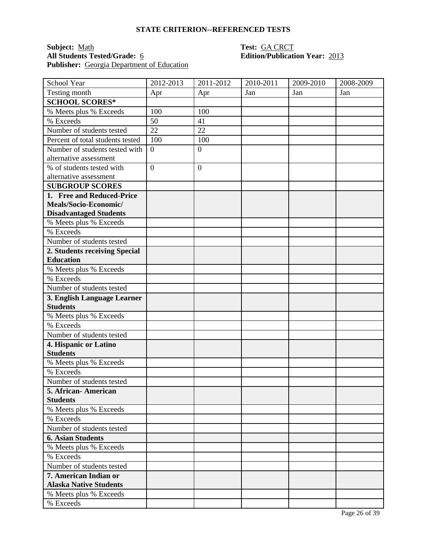## **Subject:** <u>Math</u> **Test:** <u>GA CRCT</u><br> **All Students Tested/Grade:** 6 **Test: GA CRCT**<br> **Edition/Publication** Publisher: Georgia Department of Education

# **All Students Tested/Grade:** 6 **Edition/Publication Year:** 2013

| School Year                      | 2012-2013      | $2011 - 2012$    | 2010-2011 | 2009-2010 | 2008-2009 |
|----------------------------------|----------------|------------------|-----------|-----------|-----------|
| Testing month                    | Apr            | Apr              | Jan       | Jan       | Jan       |
| <b>SCHOOL SCORES*</b>            |                |                  |           |           |           |
| % Meets plus % Exceeds           | 100            | 100              |           |           |           |
| % Exceeds                        | 50             | 41               |           |           |           |
| Number of students tested        | 22             | 22               |           |           |           |
| Percent of total students tested | 100            | 100              |           |           |           |
| Number of students tested with   | $\overline{0}$ | $\boldsymbol{0}$ |           |           |           |
| alternative assessment           |                |                  |           |           |           |
| % of students tested with        | $\overline{0}$ | $\overline{0}$   |           |           |           |
| alternative assessment           |                |                  |           |           |           |
| <b>SUBGROUP SCORES</b>           |                |                  |           |           |           |
| 1. Free and Reduced-Price        |                |                  |           |           |           |
| Meals/Socio-Economic/            |                |                  |           |           |           |
| <b>Disadvantaged Students</b>    |                |                  |           |           |           |
| % Meets plus % Exceeds           |                |                  |           |           |           |
| % Exceeds                        |                |                  |           |           |           |
| Number of students tested        |                |                  |           |           |           |
| 2. Students receiving Special    |                |                  |           |           |           |
| <b>Education</b>                 |                |                  |           |           |           |
| % Meets plus % Exceeds           |                |                  |           |           |           |
| % Exceeds                        |                |                  |           |           |           |
| Number of students tested        |                |                  |           |           |           |
| 3. English Language Learner      |                |                  |           |           |           |
| <b>Students</b>                  |                |                  |           |           |           |
| % Meets plus % Exceeds           |                |                  |           |           |           |
| % Exceeds                        |                |                  |           |           |           |
| Number of students tested        |                |                  |           |           |           |
| 4. Hispanic or Latino            |                |                  |           |           |           |
| <b>Students</b>                  |                |                  |           |           |           |
| % Meets plus % Exceeds           |                |                  |           |           |           |
| % Exceeds                        |                |                  |           |           |           |
| Number of students tested        |                |                  |           |           |           |
| 5. African-American              |                |                  |           |           |           |
| <b>Students</b>                  |                |                  |           |           |           |
| % Meets plus % Exceeds           |                |                  |           |           |           |
| % Exceeds                        |                |                  |           |           |           |
| Number of students tested        |                |                  |           |           |           |
| <b>6. Asian Students</b>         |                |                  |           |           |           |
| % Meets plus % Exceeds           |                |                  |           |           |           |
| % Exceeds                        |                |                  |           |           |           |
| Number of students tested        |                |                  |           |           |           |
| 7. American Indian or            |                |                  |           |           |           |
| <b>Alaska Native Students</b>    |                |                  |           |           |           |
| % Meets plus % Exceeds           |                |                  |           |           |           |
| % Exceeds                        |                |                  |           |           |           |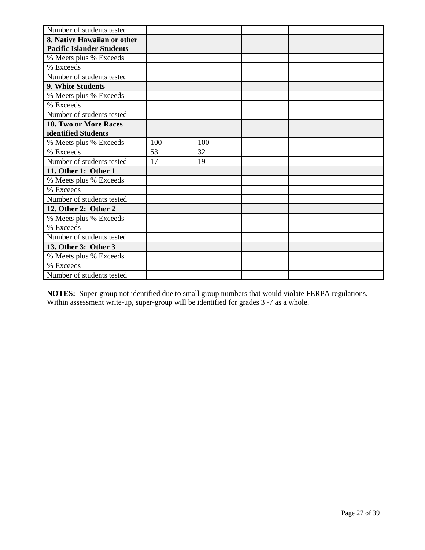| Number of students tested        |     |     |  |  |
|----------------------------------|-----|-----|--|--|
| 8. Native Hawaiian or other      |     |     |  |  |
| <b>Pacific Islander Students</b> |     |     |  |  |
| % Meets plus % Exceeds           |     |     |  |  |
| % Exceeds                        |     |     |  |  |
| Number of students tested        |     |     |  |  |
| 9. White Students                |     |     |  |  |
| % Meets plus % Exceeds           |     |     |  |  |
| % Exceeds                        |     |     |  |  |
| Number of students tested        |     |     |  |  |
| <b>10. Two or More Races</b>     |     |     |  |  |
| identified Students              |     |     |  |  |
| % Meets plus % Exceeds           | 100 | 100 |  |  |
| % Exceeds                        | 53  | 32  |  |  |
| Number of students tested        | 17  | 19  |  |  |
| 11. Other 1: Other 1             |     |     |  |  |
| % Meets plus % Exceeds           |     |     |  |  |
| % Exceeds                        |     |     |  |  |
| Number of students tested        |     |     |  |  |
| 12. Other 2: Other 2             |     |     |  |  |
| % Meets plus % Exceeds           |     |     |  |  |
| % Exceeds                        |     |     |  |  |
| Number of students tested        |     |     |  |  |
| 13. Other 3: Other 3             |     |     |  |  |
| % Meets plus % Exceeds           |     |     |  |  |
| % Exceeds                        |     |     |  |  |
| Number of students tested        |     |     |  |  |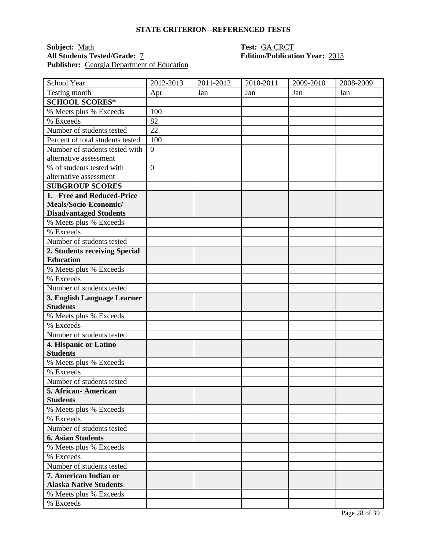## **Subject:** <u>Math</u> **Test:** <u>GA CRCT</u><br> **All Students Tested/Grade:** <u>7</u> **Calcular Edition/Publication** Publisher: Georgia Department of Education

# **Edition/Publication Year: 2013**

| School Year                              | 2012-2013        | 2011-2012 | 2010-2011 | 2009-2010 | 2008-2009 |
|------------------------------------------|------------------|-----------|-----------|-----------|-----------|
| Testing month                            | Apr              | Jan       | Jan       | Jan       | Jan       |
| <b>SCHOOL SCORES*</b>                    |                  |           |           |           |           |
| % Meets plus % Exceeds                   | 100              |           |           |           |           |
| % Exceeds                                | 82               |           |           |           |           |
| Number of students tested                | 22               |           |           |           |           |
| Percent of total students tested         | 100              |           |           |           |           |
| Number of students tested with           | $\boldsymbol{0}$ |           |           |           |           |
| alternative assessment                   |                  |           |           |           |           |
| % of students tested with                | $\overline{0}$   |           |           |           |           |
| alternative assessment                   |                  |           |           |           |           |
| <b>SUBGROUP SCORES</b>                   |                  |           |           |           |           |
| 1. Free and Reduced-Price                |                  |           |           |           |           |
| Meals/Socio-Economic/                    |                  |           |           |           |           |
| <b>Disadvantaged Students</b>            |                  |           |           |           |           |
| % Meets plus % Exceeds                   |                  |           |           |           |           |
| % Exceeds                                |                  |           |           |           |           |
| Number of students tested                |                  |           |           |           |           |
| 2. Students receiving Special            |                  |           |           |           |           |
| <b>Education</b>                         |                  |           |           |           |           |
| % Meets plus % Exceeds                   |                  |           |           |           |           |
| % Exceeds                                |                  |           |           |           |           |
| Number of students tested                |                  |           |           |           |           |
| 3. English Language Learner              |                  |           |           |           |           |
| <b>Students</b>                          |                  |           |           |           |           |
| % Meets plus % Exceeds                   |                  |           |           |           |           |
| % Exceeds                                |                  |           |           |           |           |
| Number of students tested                |                  |           |           |           |           |
| 4. Hispanic or Latino                    |                  |           |           |           |           |
| <b>Students</b>                          |                  |           |           |           |           |
| % Meets plus % Exceeds                   |                  |           |           |           |           |
| % Exceeds                                |                  |           |           |           |           |
| Number of students tested                |                  |           |           |           |           |
| 5. African - American<br><b>Students</b> |                  |           |           |           |           |
| % Meets plus % Exceeds                   |                  |           |           |           |           |
| % Exceeds                                |                  |           |           |           |           |
| Number of students tested                |                  |           |           |           |           |
| <b>6. Asian Students</b>                 |                  |           |           |           |           |
| % Meets plus % Exceeds                   |                  |           |           |           |           |
| % Exceeds                                |                  |           |           |           |           |
| Number of students tested                |                  |           |           |           |           |
| 7. American Indian or                    |                  |           |           |           |           |
| <b>Alaska Native Students</b>            |                  |           |           |           |           |
| % Meets plus % Exceeds                   |                  |           |           |           |           |
| % Exceeds                                |                  |           |           |           |           |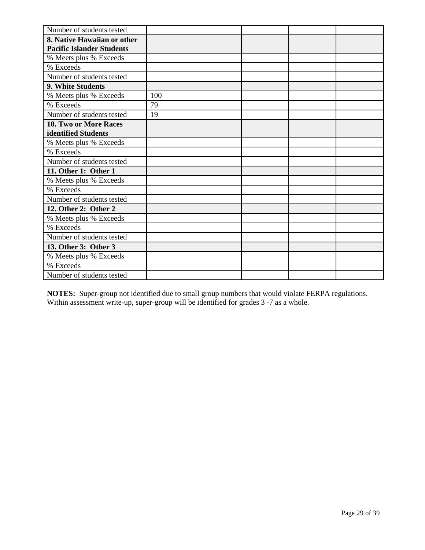| Number of students tested        |     |  |  |
|----------------------------------|-----|--|--|
| 8. Native Hawaiian or other      |     |  |  |
| <b>Pacific Islander Students</b> |     |  |  |
| % Meets plus % Exceeds           |     |  |  |
| % Exceeds                        |     |  |  |
| Number of students tested        |     |  |  |
| 9. White Students                |     |  |  |
| % Meets plus % Exceeds           | 100 |  |  |
| % Exceeds                        | 79  |  |  |
| Number of students tested        | 19  |  |  |
| <b>10. Two or More Races</b>     |     |  |  |
| identified Students              |     |  |  |
| % Meets plus % Exceeds           |     |  |  |
| % Exceeds                        |     |  |  |
| Number of students tested        |     |  |  |
| 11. Other 1: Other 1             |     |  |  |
| % Meets plus % Exceeds           |     |  |  |
| % Exceeds                        |     |  |  |
| Number of students tested        |     |  |  |
| 12. Other 2: Other 2             |     |  |  |
| % Meets plus % Exceeds           |     |  |  |
| % Exceeds                        |     |  |  |
| Number of students tested        |     |  |  |
| 13. Other 3: Other 3             |     |  |  |
| % Meets plus % Exceeds           |     |  |  |
| % Exceeds                        |     |  |  |
| Number of students tested        |     |  |  |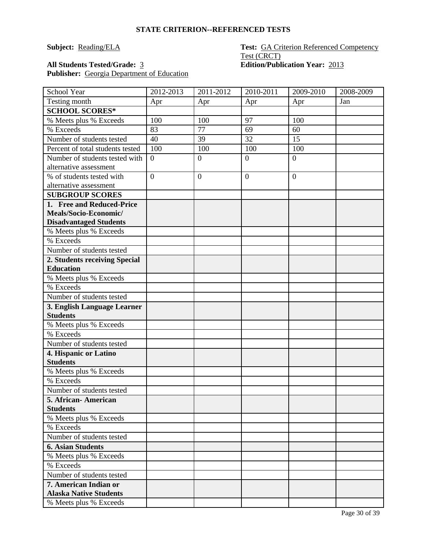### **Subject:** Reading/ELA **Test:** GA Criterion Referenced Competency Test (CRCT) **All Students Tested/Grade:** 3 **Edition/Publication Year:** 2013

Publisher: Georgia Department of Education

| School Year                                    | 2012-2013      | 2011-2012    | 2010-2011        | 2009-2010      | 2008-2009 |
|------------------------------------------------|----------------|--------------|------------------|----------------|-----------|
| Testing month                                  | Apr            | Apr          | Apr              | Apr            | Jan       |
| <b>SCHOOL SCORES*</b>                          |                |              |                  |                |           |
| % Meets plus % Exceeds                         | 100            | 100          | 97               | 100            |           |
| % Exceeds                                      | 83             | 77           | 69               | 60             |           |
| Number of students tested                      | 40             | 39           | 32               | 15             |           |
| Percent of total students tested               | 100            | 100          | 100              | 100            |           |
| Number of students tested with                 | $\theta$       | $\mathbf{0}$ | $\boldsymbol{0}$ | $\overline{0}$ |           |
| alternative assessment                         |                |              |                  |                |           |
| % of students tested with                      | $\overline{0}$ | $\mathbf{0}$ | $\boldsymbol{0}$ | $\overline{0}$ |           |
| alternative assessment                         |                |              |                  |                |           |
| <b>SUBGROUP SCORES</b>                         |                |              |                  |                |           |
| 1. Free and Reduced-Price                      |                |              |                  |                |           |
| Meals/Socio-Economic/                          |                |              |                  |                |           |
| <b>Disadvantaged Students</b>                  |                |              |                  |                |           |
| % Meets plus % Exceeds                         |                |              |                  |                |           |
| % Exceeds                                      |                |              |                  |                |           |
| Number of students tested                      |                |              |                  |                |           |
| 2. Students receiving Special                  |                |              |                  |                |           |
| <b>Education</b>                               |                |              |                  |                |           |
| % Meets plus % Exceeds                         |                |              |                  |                |           |
| % Exceeds                                      |                |              |                  |                |           |
| Number of students tested                      |                |              |                  |                |           |
| 3. English Language Learner<br><b>Students</b> |                |              |                  |                |           |
| % Meets plus % Exceeds                         |                |              |                  |                |           |
| % Exceeds                                      |                |              |                  |                |           |
| Number of students tested                      |                |              |                  |                |           |
| 4. Hispanic or Latino                          |                |              |                  |                |           |
| <b>Students</b>                                |                |              |                  |                |           |
| % Meets plus % Exceeds                         |                |              |                  |                |           |
| % Exceeds                                      |                |              |                  |                |           |
| Number of students tested                      |                |              |                  |                |           |
| 5. African-American                            |                |              |                  |                |           |
| <b>Students</b>                                |                |              |                  |                |           |
| % Meets plus % Exceeds                         |                |              |                  |                |           |
| % Exceeds                                      |                |              |                  |                |           |
| Number of students tested                      |                |              |                  |                |           |
| <b>6. Asian Students</b>                       |                |              |                  |                |           |
| % Meets plus % Exceeds                         |                |              |                  |                |           |
| % Exceeds                                      |                |              |                  |                |           |
| Number of students tested                      |                |              |                  |                |           |
| 7. American Indian or                          |                |              |                  |                |           |
| <b>Alaska Native Students</b>                  |                |              |                  |                |           |
| % Meets plus % Exceeds                         |                |              |                  |                |           |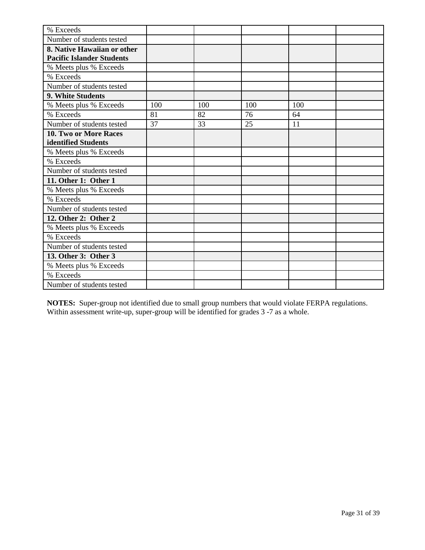| % Exceeds                                                       |     |     |     |     |  |
|-----------------------------------------------------------------|-----|-----|-----|-----|--|
| Number of students tested                                       |     |     |     |     |  |
| 8. Native Hawaiian or other<br><b>Pacific Islander Students</b> |     |     |     |     |  |
| % Meets plus % Exceeds                                          |     |     |     |     |  |
| % Exceeds                                                       |     |     |     |     |  |
| Number of students tested                                       |     |     |     |     |  |
| 9. White Students                                               |     |     |     |     |  |
| % Meets plus % Exceeds                                          | 100 | 100 | 100 | 100 |  |
| % Exceeds                                                       | 81  | 82  | 76  | 64  |  |
| Number of students tested                                       | 37  | 33  | 25  | 11  |  |
| 10. Two or More Races<br>identified Students                    |     |     |     |     |  |
| % Meets plus % Exceeds                                          |     |     |     |     |  |
| % Exceeds                                                       |     |     |     |     |  |
| Number of students tested                                       |     |     |     |     |  |
| 11. Other 1: Other 1                                            |     |     |     |     |  |
| % Meets plus % Exceeds                                          |     |     |     |     |  |
| % Exceeds                                                       |     |     |     |     |  |
| Number of students tested                                       |     |     |     |     |  |
| 12. Other 2: Other 2                                            |     |     |     |     |  |
| % Meets plus % Exceeds                                          |     |     |     |     |  |
| % Exceeds                                                       |     |     |     |     |  |
| Number of students tested                                       |     |     |     |     |  |
| 13. Other 3: Other 3                                            |     |     |     |     |  |
| % Meets plus % Exceeds                                          |     |     |     |     |  |
| % Exceeds                                                       |     |     |     |     |  |
| Number of students tested                                       |     |     |     |     |  |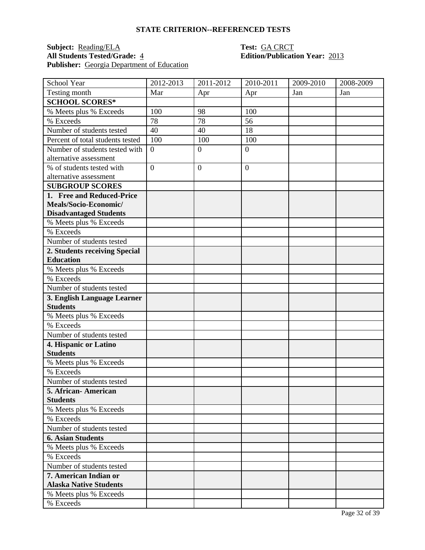## **Subject:** <u>Reading/ELA</u> **Test: GA CRCT**<br> **All Students Tested/Grade:** 4 **Edition/Publication** Publisher: Georgia Department of Education

# **All Students Tested/Grade:** 4 **Edition/Publication Year:** 2013

| School Year                      | 2012-2013      | 2011-2012        | 2010-2011      | 2009-2010 | 2008-2009 |
|----------------------------------|----------------|------------------|----------------|-----------|-----------|
| Testing month                    | Mar            | Apr              | Apr            | Jan       | Jan       |
| <b>SCHOOL SCORES*</b>            |                |                  |                |           |           |
| % Meets plus % Exceeds           | 100            | 98               | 100            |           |           |
| % Exceeds                        | 78             | 78               | 56             |           |           |
| Number of students tested        | 40             | 40               | 18             |           |           |
| Percent of total students tested | 100            | 100              | 100            |           |           |
| Number of students tested with   | $\overline{0}$ | $\overline{0}$   | $\overline{0}$ |           |           |
| alternative assessment           |                |                  |                |           |           |
| % of students tested with        | $\overline{0}$ | $\boldsymbol{0}$ | $\overline{0}$ |           |           |
| alternative assessment           |                |                  |                |           |           |
| <b>SUBGROUP SCORES</b>           |                |                  |                |           |           |
| 1. Free and Reduced-Price        |                |                  |                |           |           |
| Meals/Socio-Economic/            |                |                  |                |           |           |
| <b>Disadvantaged Students</b>    |                |                  |                |           |           |
| % Meets plus % Exceeds           |                |                  |                |           |           |
| % Exceeds                        |                |                  |                |           |           |
| Number of students tested        |                |                  |                |           |           |
| 2. Students receiving Special    |                |                  |                |           |           |
| <b>Education</b>                 |                |                  |                |           |           |
| % Meets plus % Exceeds           |                |                  |                |           |           |
| % Exceeds                        |                |                  |                |           |           |
| Number of students tested        |                |                  |                |           |           |
| 3. English Language Learner      |                |                  |                |           |           |
| <b>Students</b>                  |                |                  |                |           |           |
| % Meets plus % Exceeds           |                |                  |                |           |           |
| % Exceeds                        |                |                  |                |           |           |
| Number of students tested        |                |                  |                |           |           |
| 4. Hispanic or Latino            |                |                  |                |           |           |
| <b>Students</b>                  |                |                  |                |           |           |
| % Meets plus % Exceeds           |                |                  |                |           |           |
| % Exceeds                        |                |                  |                |           |           |
| Number of students tested        |                |                  |                |           |           |
| 5. African-American              |                |                  |                |           |           |
| <b>Students</b>                  |                |                  |                |           |           |
| % Meets plus % Exceeds           |                |                  |                |           |           |
| % Exceeds                        |                |                  |                |           |           |
| Number of students tested        |                |                  |                |           |           |
| <b>6. Asian Students</b>         |                |                  |                |           |           |
| % Meets plus % Exceeds           |                |                  |                |           |           |
| % Exceeds                        |                |                  |                |           |           |
| Number of students tested        |                |                  |                |           |           |
| 7. American Indian or            |                |                  |                |           |           |
| <b>Alaska Native Students</b>    |                |                  |                |           |           |
| % Meets plus % Exceeds           |                |                  |                |           |           |
| % Exceeds                        |                |                  |                |           |           |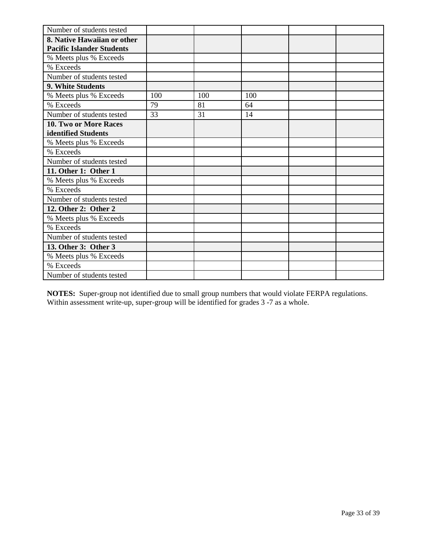| Number of students tested        |     |     |     |  |
|----------------------------------|-----|-----|-----|--|
| 8. Native Hawaiian or other      |     |     |     |  |
| <b>Pacific Islander Students</b> |     |     |     |  |
| % Meets plus % Exceeds           |     |     |     |  |
| % Exceeds                        |     |     |     |  |
| Number of students tested        |     |     |     |  |
| 9. White Students                |     |     |     |  |
| % Meets plus % Exceeds           | 100 | 100 | 100 |  |
| % Exceeds                        | 79  | 81  | 64  |  |
| Number of students tested        | 33  | 31  | 14  |  |
| 10. Two or More Races            |     |     |     |  |
| identified Students              |     |     |     |  |
| % Meets plus % Exceeds           |     |     |     |  |
| % Exceeds                        |     |     |     |  |
| Number of students tested        |     |     |     |  |
| 11. Other 1: Other 1             |     |     |     |  |
| % Meets plus % Exceeds           |     |     |     |  |
| % Exceeds                        |     |     |     |  |
| Number of students tested        |     |     |     |  |
| 12. Other 2: Other 2             |     |     |     |  |
| % Meets plus % Exceeds           |     |     |     |  |
| % Exceeds                        |     |     |     |  |
| Number of students tested        |     |     |     |  |
| 13. Other 3: Other 3             |     |     |     |  |
| % Meets plus % Exceeds           |     |     |     |  |
| % Exceeds                        |     |     |     |  |
| Number of students tested        |     |     |     |  |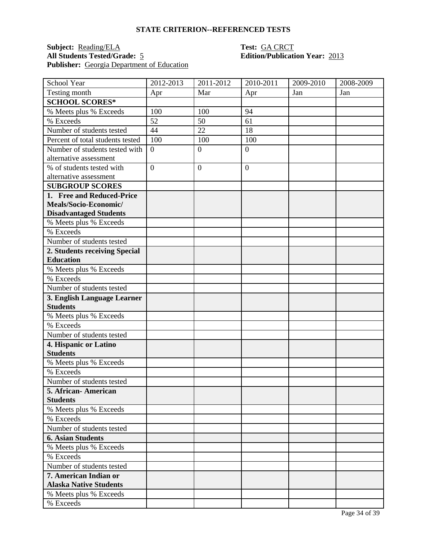## **Subject:** <u>Reading/ELA</u> **Test: GA CRCT**<br> **All Students Tested/Grade:** 5 **Edition/Publication** Publisher: Georgia Department of Education

# **All Students Tested/Grade:** 5 **Edition/Publication Year:** 2013

| School Year                      | 2012-2013      | 2011-2012        | 2010-2011      | 2009-2010 | 2008-2009 |
|----------------------------------|----------------|------------------|----------------|-----------|-----------|
| Testing month                    | Apr            | Mar              | Apr            | Jan       | Jan       |
| <b>SCHOOL SCORES*</b>            |                |                  |                |           |           |
| % Meets plus % Exceeds           | 100            | 100              | 94             |           |           |
| % Exceeds                        | 52             | 50               | 61             |           |           |
| Number of students tested        | 44             | 22               | 18             |           |           |
| Percent of total students tested | 100            | 100              | 100            |           |           |
| Number of students tested with   | $\overline{0}$ | $\overline{0}$   | $\overline{0}$ |           |           |
| alternative assessment           |                |                  |                |           |           |
| % of students tested with        | $\overline{0}$ | $\boldsymbol{0}$ | $\overline{0}$ |           |           |
| alternative assessment           |                |                  |                |           |           |
| <b>SUBGROUP SCORES</b>           |                |                  |                |           |           |
| 1. Free and Reduced-Price        |                |                  |                |           |           |
| Meals/Socio-Economic/            |                |                  |                |           |           |
| <b>Disadvantaged Students</b>    |                |                  |                |           |           |
| % Meets plus % Exceeds           |                |                  |                |           |           |
| % Exceeds                        |                |                  |                |           |           |
| Number of students tested        |                |                  |                |           |           |
| 2. Students receiving Special    |                |                  |                |           |           |
| <b>Education</b>                 |                |                  |                |           |           |
| % Meets plus % Exceeds           |                |                  |                |           |           |
| % Exceeds                        |                |                  |                |           |           |
| Number of students tested        |                |                  |                |           |           |
| 3. English Language Learner      |                |                  |                |           |           |
| <b>Students</b>                  |                |                  |                |           |           |
| % Meets plus % Exceeds           |                |                  |                |           |           |
| % Exceeds                        |                |                  |                |           |           |
| Number of students tested        |                |                  |                |           |           |
| 4. Hispanic or Latino            |                |                  |                |           |           |
| <b>Students</b>                  |                |                  |                |           |           |
| % Meets plus % Exceeds           |                |                  |                |           |           |
| % Exceeds                        |                |                  |                |           |           |
| Number of students tested        |                |                  |                |           |           |
| 5. African-American              |                |                  |                |           |           |
| <b>Students</b>                  |                |                  |                |           |           |
| % Meets plus % Exceeds           |                |                  |                |           |           |
| % Exceeds                        |                |                  |                |           |           |
| Number of students tested        |                |                  |                |           |           |
| <b>6. Asian Students</b>         |                |                  |                |           |           |
| % Meets plus % Exceeds           |                |                  |                |           |           |
| % Exceeds                        |                |                  |                |           |           |
| Number of students tested        |                |                  |                |           |           |
| 7. American Indian or            |                |                  |                |           |           |
| <b>Alaska Native Students</b>    |                |                  |                |           |           |
| % Meets plus % Exceeds           |                |                  |                |           |           |
| % Exceeds                        |                |                  |                |           |           |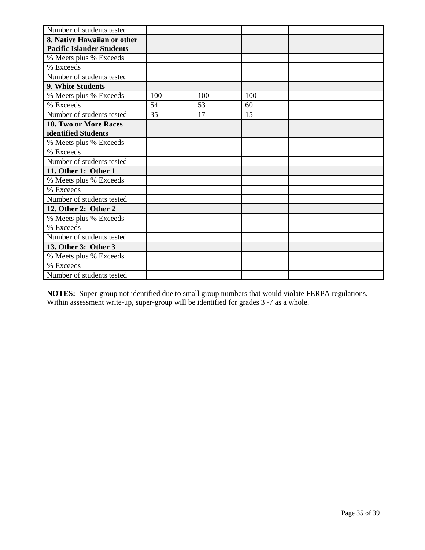| Number of students tested        |     |     |     |  |
|----------------------------------|-----|-----|-----|--|
| 8. Native Hawaiian or other      |     |     |     |  |
| <b>Pacific Islander Students</b> |     |     |     |  |
| % Meets plus % Exceeds           |     |     |     |  |
| % Exceeds                        |     |     |     |  |
| Number of students tested        |     |     |     |  |
| 9. White Students                |     |     |     |  |
| % Meets plus % Exceeds           | 100 | 100 | 100 |  |
| % Exceeds                        | 54  | 53  | 60  |  |
| Number of students tested        | 35  | 17  | 15  |  |
| 10. Two or More Races            |     |     |     |  |
| identified Students              |     |     |     |  |
| % Meets plus % Exceeds           |     |     |     |  |
| % Exceeds                        |     |     |     |  |
| Number of students tested        |     |     |     |  |
| 11. Other 1: Other 1             |     |     |     |  |
| % Meets plus % Exceeds           |     |     |     |  |
| % Exceeds                        |     |     |     |  |
| Number of students tested        |     |     |     |  |
| 12. Other 2: Other 2             |     |     |     |  |
| % Meets plus % Exceeds           |     |     |     |  |
| % Exceeds                        |     |     |     |  |
| Number of students tested        |     |     |     |  |
| 13. Other 3: Other 3             |     |     |     |  |
| % Meets plus % Exceeds           |     |     |     |  |
| % Exceeds                        |     |     |     |  |
| Number of students tested        |     |     |     |  |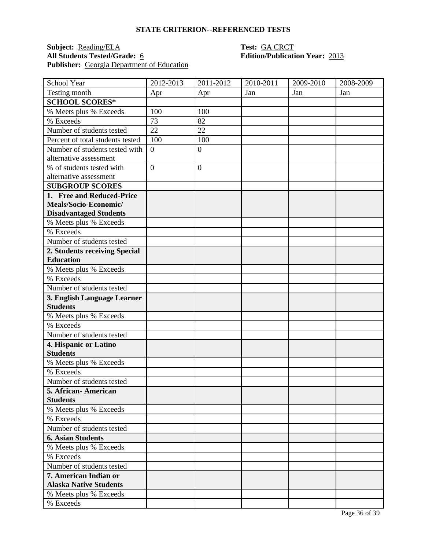## **Subject:** <u>Reading/ELA</u> **Test:** <u>GA CRCT</u><br> **All Students Tested/Grade:** 6 **CONTEXECUTE Extending Edition/Publication** Publisher: Georgia Department of Education

# **All Students Tested/Grade:** 6 **Edition/Publication Year:** 2013

| School Year                      | 2012-2013      | 2011-2012        | 2010-2011 | 2009-2010 | 2008-2009 |
|----------------------------------|----------------|------------------|-----------|-----------|-----------|
| Testing month                    | Apr            | Apr              | Jan       | Jan       | Jan       |
| <b>SCHOOL SCORES*</b>            |                |                  |           |           |           |
| % Meets plus % Exceeds           | 100            | 100              |           |           |           |
| % Exceeds                        | 73             | 82               |           |           |           |
| Number of students tested        | 22             | 22               |           |           |           |
| Percent of total students tested | 100            | 100              |           |           |           |
| Number of students tested with   | $\overline{0}$ | $\overline{0}$   |           |           |           |
| alternative assessment           |                |                  |           |           |           |
| % of students tested with        | $\overline{0}$ | $\boldsymbol{0}$ |           |           |           |
| alternative assessment           |                |                  |           |           |           |
| <b>SUBGROUP SCORES</b>           |                |                  |           |           |           |
| 1. Free and Reduced-Price        |                |                  |           |           |           |
| Meals/Socio-Economic/            |                |                  |           |           |           |
| <b>Disadvantaged Students</b>    |                |                  |           |           |           |
| % Meets plus % Exceeds           |                |                  |           |           |           |
| % Exceeds                        |                |                  |           |           |           |
| Number of students tested        |                |                  |           |           |           |
| 2. Students receiving Special    |                |                  |           |           |           |
| <b>Education</b>                 |                |                  |           |           |           |
| % Meets plus % Exceeds           |                |                  |           |           |           |
| % Exceeds                        |                |                  |           |           |           |
| Number of students tested        |                |                  |           |           |           |
| 3. English Language Learner      |                |                  |           |           |           |
| <b>Students</b>                  |                |                  |           |           |           |
| % Meets plus % Exceeds           |                |                  |           |           |           |
| % Exceeds                        |                |                  |           |           |           |
| Number of students tested        |                |                  |           |           |           |
| 4. Hispanic or Latino            |                |                  |           |           |           |
| <b>Students</b>                  |                |                  |           |           |           |
| % Meets plus % Exceeds           |                |                  |           |           |           |
| % Exceeds                        |                |                  |           |           |           |
| Number of students tested        |                |                  |           |           |           |
| 5. African-American              |                |                  |           |           |           |
| <b>Students</b>                  |                |                  |           |           |           |
| % Meets plus % Exceeds           |                |                  |           |           |           |
| % Exceeds                        |                |                  |           |           |           |
| Number of students tested        |                |                  |           |           |           |
| <b>6. Asian Students</b>         |                |                  |           |           |           |
| % Meets plus % Exceeds           |                |                  |           |           |           |
| % Exceeds                        |                |                  |           |           |           |
| Number of students tested        |                |                  |           |           |           |
| 7. American Indian or            |                |                  |           |           |           |
| <b>Alaska Native Students</b>    |                |                  |           |           |           |
| % Meets plus % Exceeds           |                |                  |           |           |           |
| % Exceeds                        |                |                  |           |           |           |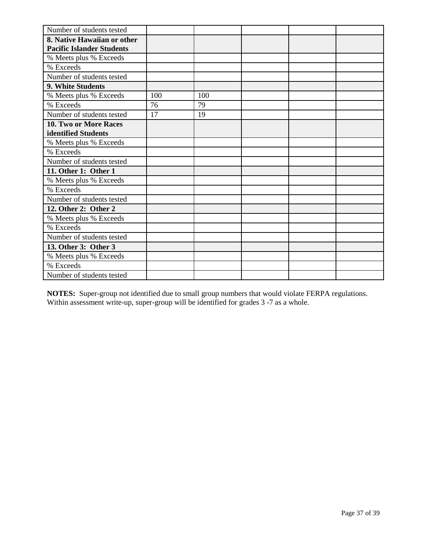| Number of students tested        |     |     |  |  |
|----------------------------------|-----|-----|--|--|
| 8. Native Hawaiian or other      |     |     |  |  |
| <b>Pacific Islander Students</b> |     |     |  |  |
| % Meets plus % Exceeds           |     |     |  |  |
| % Exceeds                        |     |     |  |  |
| Number of students tested        |     |     |  |  |
| 9. White Students                |     |     |  |  |
| % Meets plus % Exceeds           | 100 | 100 |  |  |
| % Exceeds                        | 76  | 79  |  |  |
| Number of students tested        | 17  | 19  |  |  |
| <b>10. Two or More Races</b>     |     |     |  |  |
| identified Students              |     |     |  |  |
| % Meets plus % Exceeds           |     |     |  |  |
| % Exceeds                        |     |     |  |  |
| Number of students tested        |     |     |  |  |
| 11. Other 1: Other 1             |     |     |  |  |
| % Meets plus % Exceeds           |     |     |  |  |
| % Exceeds                        |     |     |  |  |
| Number of students tested        |     |     |  |  |
| 12. Other 2: Other 2             |     |     |  |  |
| % Meets plus % Exceeds           |     |     |  |  |
| % Exceeds                        |     |     |  |  |
| Number of students tested        |     |     |  |  |
| 13. Other 3: Other 3             |     |     |  |  |
| % Meets plus % Exceeds           |     |     |  |  |
| % Exceeds                        |     |     |  |  |
| Number of students tested        |     |     |  |  |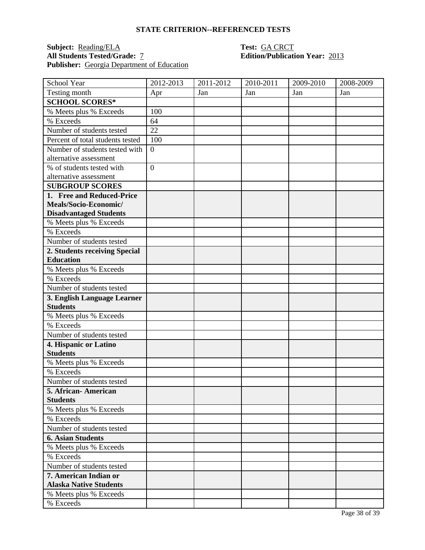## **Subject:** <u>Reading/ELA</u> **Test: GA CRCT**<br> **All Students Tested/Grade:** 7 **Test: CA CRCT**<br> **Edition/Publication** Publisher: **Georgia Department of Education**

# **Edition/Publication Year: 2013**

| School Year                                        | 2012-2013      | 2011-2012 | 2010-2011 | 2009-2010 | 2008-2009 |
|----------------------------------------------------|----------------|-----------|-----------|-----------|-----------|
| Testing month                                      | Apr            | Jan       | Jan       | Jan       | Jan       |
| <b>SCHOOL SCORES*</b>                              |                |           |           |           |           |
| % Meets plus % Exceeds                             | 100            |           |           |           |           |
| % Exceeds                                          | 64             |           |           |           |           |
| Number of students tested                          | 22             |           |           |           |           |
| Percent of total students tested                   | 100            |           |           |           |           |
| Number of students tested with                     | $\overline{0}$ |           |           |           |           |
| alternative assessment                             |                |           |           |           |           |
| % of students tested with                          | $\overline{0}$ |           |           |           |           |
| alternative assessment                             |                |           |           |           |           |
| <b>SUBGROUP SCORES</b>                             |                |           |           |           |           |
| 1. Free and Reduced-Price                          |                |           |           |           |           |
| Meals/Socio-Economic/                              |                |           |           |           |           |
| <b>Disadvantaged Students</b>                      |                |           |           |           |           |
| % Meets plus % Exceeds                             |                |           |           |           |           |
| % Exceeds                                          |                |           |           |           |           |
| Number of students tested                          |                |           |           |           |           |
| 2. Students receiving Special                      |                |           |           |           |           |
| <b>Education</b>                                   |                |           |           |           |           |
| % Meets plus % Exceeds                             |                |           |           |           |           |
| % Exceeds                                          |                |           |           |           |           |
| Number of students tested                          |                |           |           |           |           |
| 3. English Language Learner                        |                |           |           |           |           |
| <b>Students</b>                                    |                |           |           |           |           |
| % Meets plus % Exceeds                             |                |           |           |           |           |
| % Exceeds                                          |                |           |           |           |           |
| Number of students tested                          |                |           |           |           |           |
| 4. Hispanic or Latino                              |                |           |           |           |           |
| <b>Students</b>                                    |                |           |           |           |           |
| % Meets plus % Exceeds                             |                |           |           |           |           |
| % Exceeds                                          |                |           |           |           |           |
| Number of students tested                          |                |           |           |           |           |
| 5. African - American                              |                |           |           |           |           |
| <b>Students</b><br>% Meets plus % Exceeds          |                |           |           |           |           |
| % Exceeds                                          |                |           |           |           |           |
| Number of students tested                          |                |           |           |           |           |
|                                                    |                |           |           |           |           |
| <b>6. Asian Students</b>                           |                |           |           |           |           |
| % Meets plus % Exceeds                             |                |           |           |           |           |
| % Exceeds                                          |                |           |           |           |           |
| Number of students tested<br>7. American Indian or |                |           |           |           |           |
| <b>Alaska Native Students</b>                      |                |           |           |           |           |
| % Meets plus % Exceeds                             |                |           |           |           |           |
| % Exceeds                                          |                |           |           |           |           |
|                                                    |                |           |           |           |           |